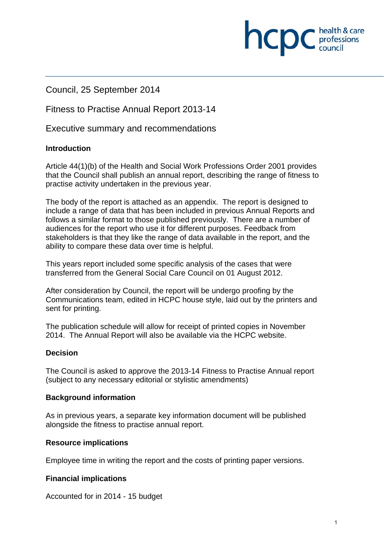# Council, 25 September 2014

# Fitness to Practise Annual Report 2013-14

Executive summary and recommendations

#### **Introduction**

Article 44(1)(b) of the Health and Social Work Professions Order 2001 provides that the Council shall publish an annual report, describing the range of fitness to practise activity undertaken in the previous year.

The body of the report is attached as an appendix. The report is designed to include a range of data that has been included in previous Annual Reports and follows a similar format to those published previously. There are a number of audiences for the report who use it for different purposes. Feedback from stakeholders is that they like the range of data available in the report, and the ability to compare these data over time is helpful.

This years report included some specific analysis of the cases that were transferred from the General Social Care Council on 01 August 2012.

After consideration by Council, the report will be undergo proofing by the Communications team, edited in HCPC house style, laid out by the printers and sent for printing.

The publication schedule will allow for receipt of printed copies in November 2014. The Annual Report will also be available via the HCPC website.

#### **Decision**

The Council is asked to approve the 2013-14 Fitness to Practise Annual report (subject to any necessary editorial or stylistic amendments)

#### **Background information**

As in previous years, a separate key information document will be published alongside the fitness to practise annual report.

#### **Resource implications**

Employee time in writing the report and the costs of printing paper versions.

#### **Financial implications**

Accounted for in 2014 - 15 budget

health & care

**INCID** C professions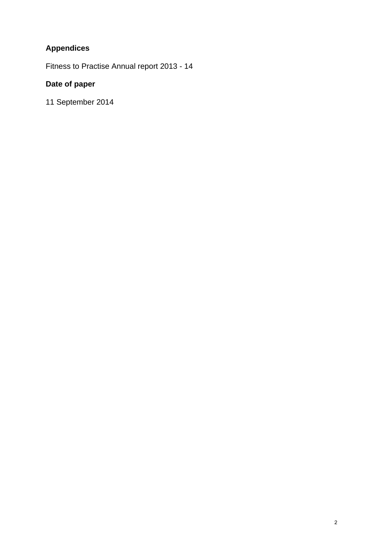# **Appendices**

Fitness to Practise Annual report 2013 - 14

# **Date of paper**

11 September 2014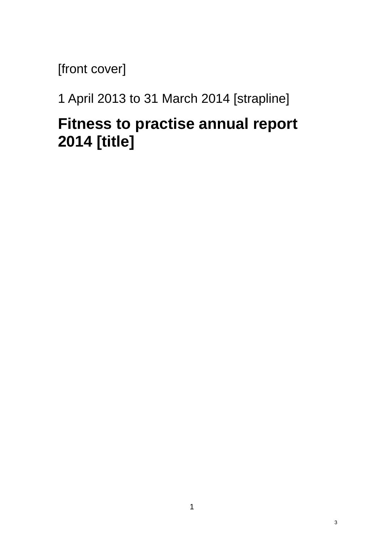[front cover]

1 April 2013 to 31 March 2014 [strapline]

# **Fitness to practise annual report 2014 [title]**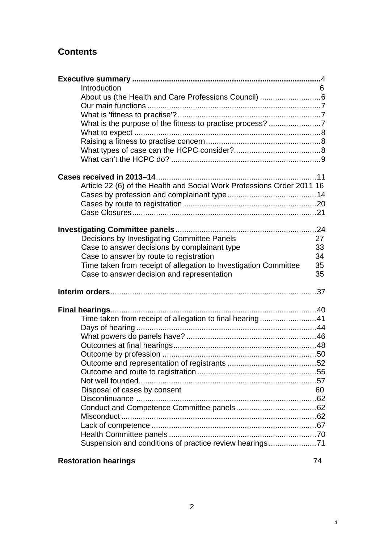# **Contents**

| Introduction                                                           | 6  |
|------------------------------------------------------------------------|----|
| About us (the Health and Care Professions Council) 6                   |    |
|                                                                        |    |
|                                                                        |    |
| What is the purpose of the fitness to practise process? 7              |    |
|                                                                        |    |
|                                                                        |    |
|                                                                        |    |
|                                                                        |    |
|                                                                        |    |
|                                                                        |    |
| Article 22 (6) of the Health and Social Work Professions Order 2011 16 |    |
|                                                                        |    |
|                                                                        |    |
|                                                                        |    |
|                                                                        |    |
| Decisions by Investigating Committee Panels                            | 27 |
| Case to answer decisions by complainant type                           | 33 |
| Case to answer by route to registration                                | 34 |
| Time taken from receipt of allegation to Investigation Committee       | 35 |
| Case to answer decision and representation                             | 35 |
|                                                                        |    |
|                                                                        |    |
|                                                                        |    |
|                                                                        |    |
| Time taken from receipt of allegation to final hearing41               |    |
|                                                                        |    |
|                                                                        |    |
|                                                                        |    |
|                                                                        |    |
|                                                                        |    |
|                                                                        |    |
|                                                                        |    |
| Disposal of cases by consent                                           | 60 |
|                                                                        |    |
|                                                                        |    |
|                                                                        |    |
|                                                                        |    |
|                                                                        |    |
| Suspension and conditions of practice review hearings71                |    |

# **Restoration hearings** 74

4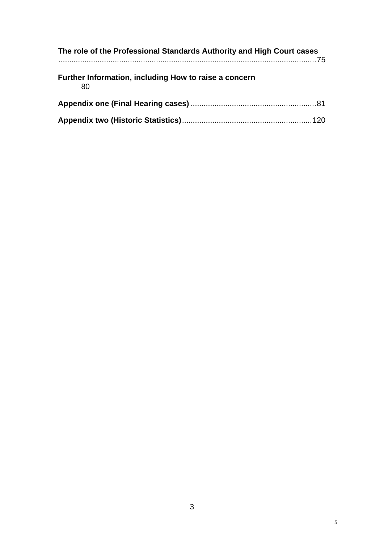| The role of the Professional Standards Authority and High Court cases |  |
|-----------------------------------------------------------------------|--|
| Further Information, including How to raise a concern<br>80           |  |
|                                                                       |  |
|                                                                       |  |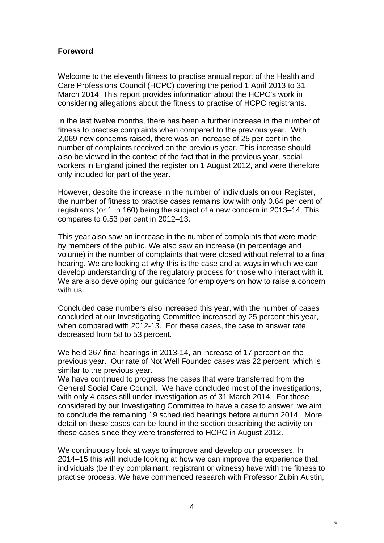#### **Foreword**

Welcome to the eleventh fitness to practise annual report of the Health and Care Professions Council (HCPC) covering the period 1 April 2013 to 31 March 2014. This report provides information about the HCPC's work in considering allegations about the fitness to practise of HCPC registrants.

In the last twelve months, there has been a further increase in the number of fitness to practise complaints when compared to the previous year. With 2,069 new concerns raised, there was an increase of 25 per cent in the number of complaints received on the previous year. This increase should also be viewed in the context of the fact that in the previous year, social workers in England joined the register on 1 August 2012, and were therefore only included for part of the year.

However, despite the increase in the number of individuals on our Register, the number of fitness to practise cases remains low with only 0.64 per cent of registrants (or 1 in 160) being the subject of a new concern in 2013–14. This compares to 0.53 per cent in 2012–13.

This year also saw an increase in the number of complaints that were made by members of the public. We also saw an increase (in percentage and volume) in the number of complaints that were closed without referral to a final hearing. We are looking at why this is the case and at ways in which we can develop understanding of the regulatory process for those who interact with it. We are also developing our guidance for employers on how to raise a concern with us.

Concluded case numbers also increased this year, with the number of cases concluded at our Investigating Committee increased by 25 percent this year, when compared with 2012-13. For these cases, the case to answer rate decreased from 58 to 53 percent.

We held 267 final hearings in 2013-14, an increase of 17 percent on the previous year. Our rate of Not Well Founded cases was 22 percent, which is similar to the previous year.

We have continued to progress the cases that were transferred from the General Social Care Council. We have concluded most of the investigations, with only 4 cases still under investigation as of 31 March 2014. For those considered by our Investigating Committee to have a case to answer, we aim to conclude the remaining 19 scheduled hearings before autumn 2014. More detail on these cases can be found in the section describing the activity on these cases since they were transferred to HCPC in August 2012.

We continuously look at ways to improve and develop our processes. In 2014–15 this will include looking at how we can improve the experience that individuals (be they complainant, registrant or witness) have with the fitness to practise process. We have commenced research with Professor Zubin Austin,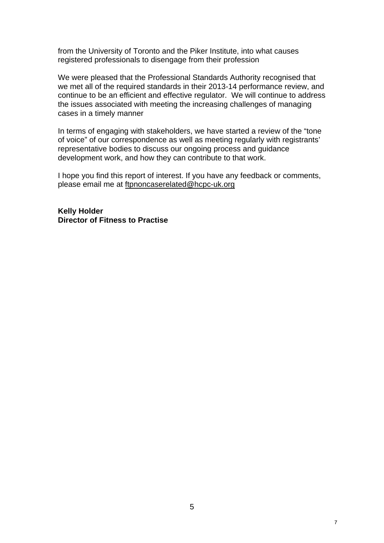from the University of Toronto and the Piker Institute, into what causes registered professionals to disengage from their profession

We were pleased that the Professional Standards Authority recognised that we met all of the required standards in their 2013-14 performance review, and continue to be an efficient and effective regulator. We will continue to address the issues associated with meeting the increasing challenges of managing cases in a timely manner

In terms of engaging with stakeholders, we have started a review of the "tone of voice" of our correspondence as well as meeting regularly with registrants' representative bodies to discuss our ongoing process and guidance development work, and how they can contribute to that work.

I hope you find this report of interest. If you have any feedback or comments, please email me at ftpnoncaserelated@hcpc-uk.org

**Kelly Holder Director of Fitness to Practise** 

7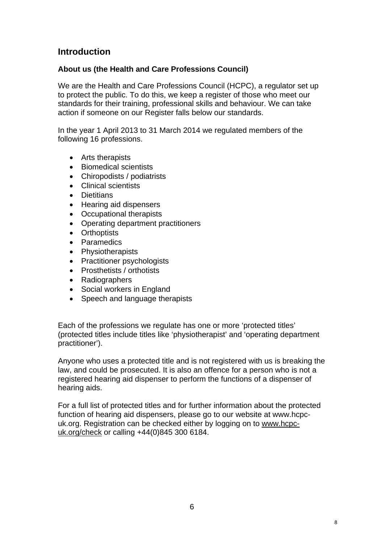# **Introduction**

# **About us (the Health and Care Professions Council)**

We are the Health and Care Professions Council (HCPC), a regulator set up to protect the public. To do this, we keep a register of those who meet our standards for their training, professional skills and behaviour. We can take action if someone on our Register falls below our standards.

In the year 1 April 2013 to 31 March 2014 we regulated members of the following 16 professions.

- Arts therapists
- Biomedical scientists
- Chiropodists / podiatrists
- Clinical scientists
- **•** Dietitians
- Hearing aid dispensers
- Occupational therapists
- Operating department practitioners
- Orthoptists
- Paramedics
- Physiotherapists
- Practitioner psychologists
- Prosthetists / orthotists
- Radiographers
- Social workers in England
- Speech and language therapists

Each of the professions we regulate has one or more 'protected titles' (protected titles include titles like 'physiotherapist' and 'operating department practitioner').

Anyone who uses a protected title and is not registered with us is breaking the law, and could be prosecuted. It is also an offence for a person who is not a registered hearing aid dispenser to perform the functions of a dispenser of hearing aids.

For a full list of protected titles and for further information about the protected function of hearing aid dispensers, please go to our website at www.hcpcuk.org. Registration can be checked either by logging on to www.hcpcuk.org/check or calling +44(0)845 300 6184.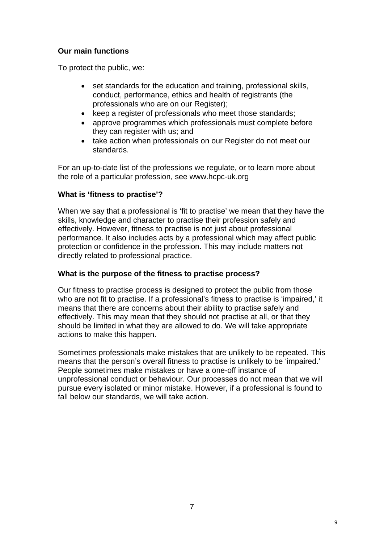# **Our main functions**

To protect the public, we:

- set standards for the education and training, professional skills, conduct, performance, ethics and health of registrants (the professionals who are on our Register);
- keep a register of professionals who meet those standards;
- approve programmes which professionals must complete before they can register with us; and
- take action when professionals on our Register do not meet our standards.

For an up-to-date list of the professions we regulate, or to learn more about the role of a particular profession, see www.hcpc-uk.org

## **What is 'fitness to practise'?**

When we say that a professional is 'fit to practise' we mean that they have the skills, knowledge and character to practise their profession safely and effectively. However, fitness to practise is not just about professional performance. It also includes acts by a professional which may affect public protection or confidence in the profession. This may include matters not directly related to professional practice.

#### **What is the purpose of the fitness to practise process?**

Our fitness to practise process is designed to protect the public from those who are not fit to practise. If a professional's fitness to practise is 'impaired,' it means that there are concerns about their ability to practise safely and effectively. This may mean that they should not practise at all, or that they should be limited in what they are allowed to do. We will take appropriate actions to make this happen.

Sometimes professionals make mistakes that are unlikely to be repeated. This means that the person's overall fitness to practise is unlikely to be 'impaired.' People sometimes make mistakes or have a one-off instance of unprofessional conduct or behaviour. Our processes do not mean that we will pursue every isolated or minor mistake. However, if a professional is found to fall below our standards, we will take action.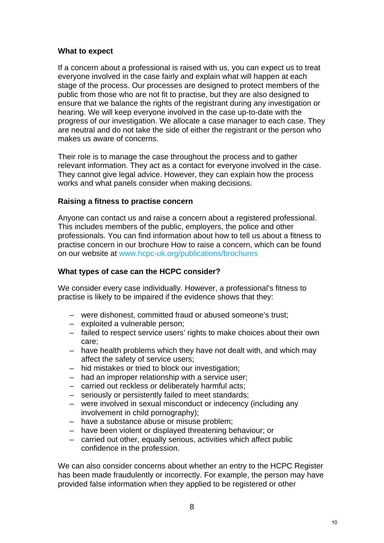#### **What to expect**

If a concern about a professional is raised with us, you can expect us to treat everyone involved in the case fairly and explain what will happen at each stage of the process. Our processes are designed to protect members of the public from those who are not fit to practise, but they are also designed to ensure that we balance the rights of the registrant during any investigation or hearing. We will keep everyone involved in the case up-to-date with the progress of our investigation. We allocate a case manager to each case. They are neutral and do not take the side of either the registrant or the person who makes us aware of concerns.

Their role is to manage the case throughout the process and to gather relevant information. They act as a contact for everyone involved in the case. They cannot give legal advice. However, they can explain how the process works and what panels consider when making decisions.

## **Raising a fitness to practise concern**

Anyone can contact us and raise a concern about a registered professional. This includes members of the public, employers, the police and other professionals. You can find information about how to tell us about a fitness to practise concern in our brochure How to raise a concern, which can be found on our website at www.hcpc-uk.org/publications/brochures

#### **What types of case can the HCPC consider?**

We consider every case individually. However, a professional's fitness to practise is likely to be impaired if the evidence shows that they:

- were dishonest, committed fraud or abused someone's trust;
- exploited a vulnerable person;
- failed to respect service users' rights to make choices about their own care;
- have health problems which they have not dealt with, and which may affect the safety of service users;
- hid mistakes or tried to block our investigation;
- had an improper relationship with a service user;
- carried out reckless or deliberately harmful acts;
- seriously or persistently failed to meet standards;
- were involved in sexual misconduct or indecency (including any involvement in child pornography);
- have a substance abuse or misuse problem;
- have been violent or displayed threatening behaviour; or
- carried out other, equally serious, activities which affect public confidence in the profession.

We can also consider concerns about whether an entry to the HCPC Register has been made fraudulently or incorrectly. For example, the person may have provided false information when they applied to be registered or other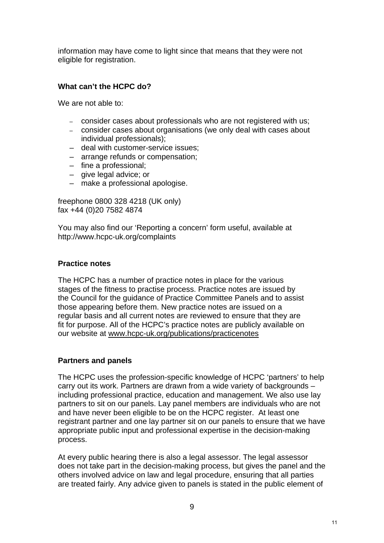information may have come to light since that means that they were not eligible for registration.

#### **What can't the HCPC do?**

We are not able to:

- consider cases about professionals who are not registered with us;
- consider cases about organisations (we only deal with cases about individual professionals);
- deal with customer-service issues;
- arrange refunds or compensation;
- fine a professional;
- give legal advice; or
- make a professional apologise.

freephone 0800 328 4218 (UK only) fax +44 (0)20 7582 4874

You may also find our 'Reporting a concern' form useful, available at http://www.hcpc-uk.org/complaints

#### **Practice notes**

The HCPC has a number of practice notes in place for the various stages of the fitness to practise process. Practice notes are issued by the Council for the guidance of Practice Committee Panels and to assist those appearing before them. New practice notes are issued on a regular basis and all current notes are reviewed to ensure that they are fit for purpose. All of the HCPC's practice notes are publicly available on our website at www.hcpc-uk.org/publications/practicenotes

#### **Partners and panels**

The HCPC uses the profession-specific knowledge of HCPC 'partners' to help carry out its work. Partners are drawn from a wide variety of backgrounds – including professional practice, education and management. We also use lay partners to sit on our panels. Lay panel members are individuals who are not and have never been eligible to be on the HCPC register. At least one registrant partner and one lay partner sit on our panels to ensure that we have appropriate public input and professional expertise in the decision-making process.

At every public hearing there is also a legal assessor. The legal assessor does not take part in the decision-making process, but gives the panel and the others involved advice on law and legal procedure, ensuring that all parties are treated fairly. Any advice given to panels is stated in the public element of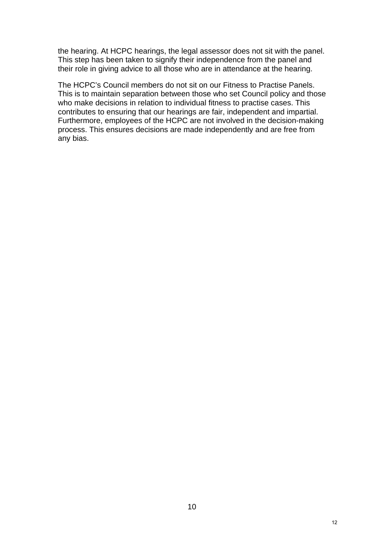the hearing. At HCPC hearings, the legal assessor does not sit with the panel. This step has been taken to signify their independence from the panel and their role in giving advice to all those who are in attendance at the hearing.

The HCPC's Council members do not sit on our Fitness to Practise Panels. This is to maintain separation between those who set Council policy and those who make decisions in relation to individual fitness to practise cases. This contributes to ensuring that our hearings are fair, independent and impartial. Furthermore, employees of the HCPC are not involved in the decision-making process. This ensures decisions are made independently and are free from any bias.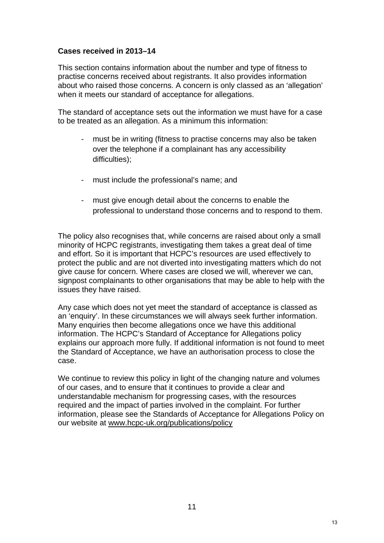#### **Cases received in 2013–14**

This section contains information about the number and type of fitness to practise concerns received about registrants. It also provides information about who raised those concerns. A concern is only classed as an 'allegation' when it meets our standard of acceptance for allegations.

The standard of acceptance sets out the information we must have for a case to be treated as an allegation. As a minimum this information:

- must be in writing (fitness to practise concerns may also be taken over the telephone if a complainant has any accessibility difficulties);
- must include the professional's name; and
- must give enough detail about the concerns to enable the professional to understand those concerns and to respond to them.

The policy also recognises that, while concerns are raised about only a small minority of HCPC registrants, investigating them takes a great deal of time and effort. So it is important that HCPC's resources are used effectively to protect the public and are not diverted into investigating matters which do not give cause for concern. Where cases are closed we will, wherever we can, signpost complainants to other organisations that may be able to help with the issues they have raised.

Any case which does not yet meet the standard of acceptance is classed as an 'enquiry'. In these circumstances we will always seek further information. Many enquiries then become allegations once we have this additional information. The HCPC's Standard of Acceptance for Allegations policy explains our approach more fully. If additional information is not found to meet the Standard of Acceptance, we have an authorisation process to close the case.

We continue to review this policy in light of the changing nature and volumes of our cases, and to ensure that it continues to provide a clear and understandable mechanism for progressing cases, with the resources required and the impact of parties involved in the complaint. For further information, please see the Standards of Acceptance for Allegations Policy on our website at www.hcpc-uk.org/publications/policy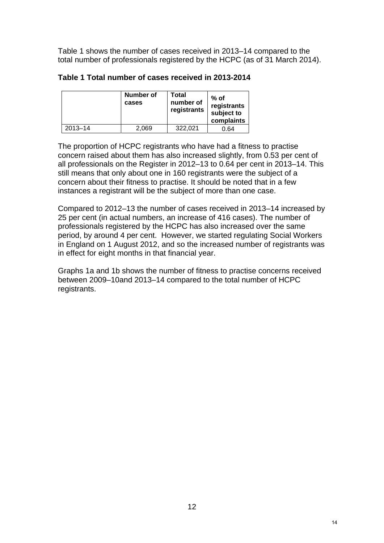Table 1 shows the number of cases received in 2013–14 compared to the total number of professionals registered by the HCPC (as of 31 March 2014).

|             | Number of<br>cases | Total<br>number of<br>registrants | $%$ of<br>registrants<br>subject to<br>complaints |
|-------------|--------------------|-----------------------------------|---------------------------------------------------|
| $2013 - 14$ | 2.069              | 322.021                           | 0.64                                              |

#### **Table 1 Total number of cases received in 2013-2014**

The proportion of HCPC registrants who have had a fitness to practise concern raised about them has also increased slightly, from 0.53 per cent of all professionals on the Register in 2012–13 to 0.64 per cent in 2013–14. This still means that only about one in 160 registrants were the subject of a concern about their fitness to practise. It should be noted that in a few instances a registrant will be the subject of more than one case.

Compared to 2012–13 the number of cases received in 2013–14 increased by 25 per cent (in actual numbers, an increase of 416 cases). The number of professionals registered by the HCPC has also increased over the same period, by around 4 per cent. However, we started regulating Social Workers in England on 1 August 2012, and so the increased number of registrants was in effect for eight months in that financial year.

Graphs 1a and 1b shows the number of fitness to practise concerns received between 2009–10and 2013–14 compared to the total number of HCPC registrants.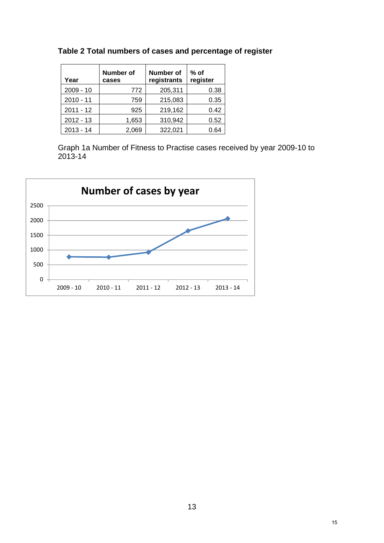| Year        | <b>Number of</b><br>cases | Number of<br>registrants | $%$ of<br>register |
|-------------|---------------------------|--------------------------|--------------------|
| $2009 - 10$ | 772                       | 205,311                  | 0.38               |
| $2010 - 11$ | 759                       | 215,083                  | 0.35               |
| $2011 - 12$ | 925                       | 219,162                  | 0.42               |
| $2012 - 13$ | 1,653                     | 310,942                  | 0.52               |
| $2013 - 14$ | 2,069                     | 322,021                  | 0.64               |

**Table 2 Total numbers of cases and percentage of register** 

Graph 1a Number of Fitness to Practise cases received by year 2009-10 to 2013-14

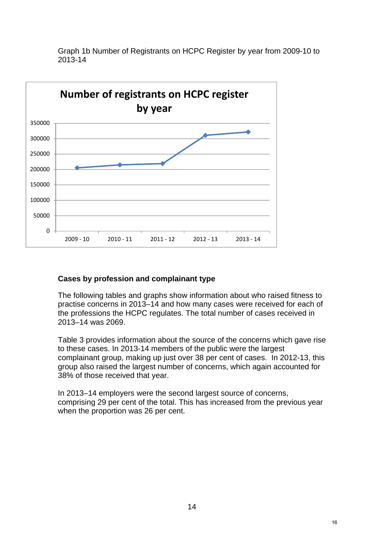

Graph 1b Number of Registrants on HCPC Register by year from 2009-10 to 2013-14

## **Cases by profession and complainant type**

The following tables and graphs show information about who raised fitness to practise concerns in 2013–14 and how many cases were received for each of the professions the HCPC regulates. The total number of cases received in 2013–14 was 2069.

Table 3 provides information about the source of the concerns which gave rise to these cases. In 2013-14 members of the public were the largest complainant group, making up just over 38 per cent of cases. In 2012-13, this group also raised the largest number of concerns, which again accounted for 38% of those received that year.

In 2013–14 employers were the second largest source of concerns, comprising 29 per cent of the total. This has increased from the previous year when the proportion was 26 per cent.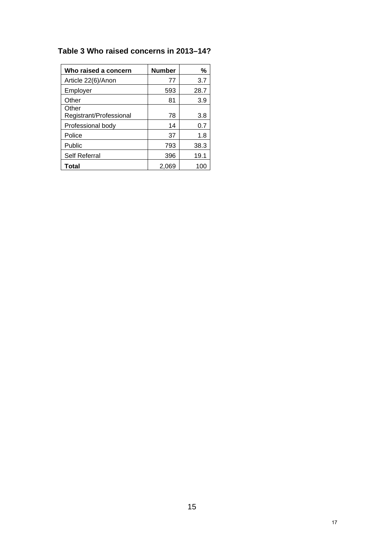# **Table 3 Who raised concerns in 2013–14?**

| Who raised a concern             | <b>Number</b> | ℅    |
|----------------------------------|---------------|------|
| Article 22(6)/Anon               | 77            | 3.7  |
| Employer                         | 593           | 28.7 |
| Other                            | 81            | 3.9  |
| Other<br>Registrant/Professional | 78            | 3.8  |
| Professional body                | 14            | 0.7  |
| Police                           | 37            | 1.8  |
| Public                           | 793           | 38.3 |
| <b>Self Referral</b>             | 396           | 19.1 |
| Total                            | 2.069         | 100  |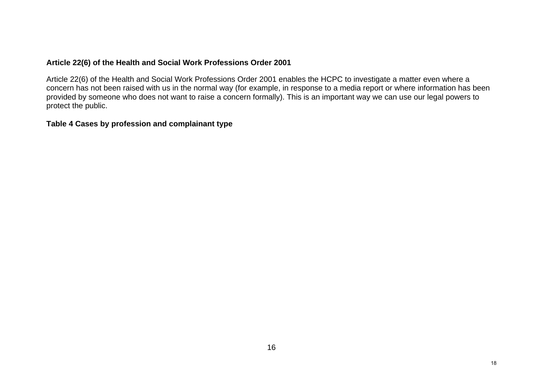#### **Article 22(6) of the Health and Social Work Professions Order 2001**

Article 22(6) of the Health and Social Work Professions Order 2001 enables the HCPC to investigate a matter even where a concern has not been raised with us in the normal way (for example, in response to a media report or where information has been provided by someone who does not want to raise a concern formally). This is an important way we can use our legal powers to protect the public.

#### **Table 4 Cases by profession and complainant type**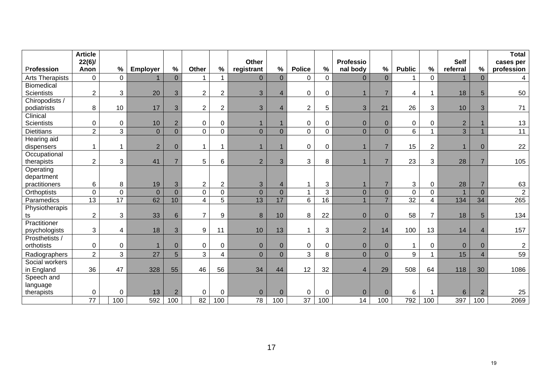|                        | <b>Article</b><br>$22(6)$ / |                                |                 |                     |                                  |                          | Other               |                                  |                |                 | <b>Professio</b>        |                                  |                     |                | <b>Self</b>          |                 | <b>Total</b><br>cases per |
|------------------------|-----------------------------|--------------------------------|-----------------|---------------------|----------------------------------|--------------------------|---------------------|----------------------------------|----------------|-----------------|-------------------------|----------------------------------|---------------------|----------------|----------------------|-----------------|---------------------------|
| Profession             | Anon                        | %                              | <b>Employer</b> | $\frac{0}{0}$       | Other                            | $\%$                     | registrant          | $\%$                             | <b>Police</b>  | $\%$            | nal body                | $\%$                             | <b>Public</b>       | $\%$           | referral             | %               | profession                |
| <b>Arts Therapists</b> | $\mathbf 0$                 | $\mathbf 0$                    |                 | $\overline{0}$      |                                  | -1                       | $\Omega$            | $\overline{0}$                   | $\mathbf 0$    | $\mathbf 0$     | $\overline{0}$          | $\overline{0}$                   |                     | $\mathbf 0$    | 1                    | $\overline{0}$  | 4                         |
| Biomedical             |                             |                                |                 |                     |                                  |                          |                     |                                  |                |                 |                         |                                  |                     |                |                      |                 |                           |
| <b>Scientists</b>      | $\overline{2}$              | 3                              | 20              | 3                   | $\overline{2}$                   | $\overline{2}$           | 3                   | $\overline{4}$                   | $\pmb{0}$      | $\mathbf 0$     |                         | $\overline{7}$                   | 4                   | -1             | 18                   | $5\phantom{.0}$ | 50                        |
| Chiropodists /         |                             |                                |                 |                     |                                  |                          |                     |                                  |                |                 |                         |                                  |                     |                |                      |                 |                           |
| podiatrists            | 8                           | 10                             | 17              | 3                   | $\overline{2}$                   | $\boldsymbol{2}$         | 3                   | $\overline{\mathbf{4}}$          | $\overline{2}$ | 5               | 3                       | 21                               | 26                  | 3              | 10                   | 3               | $71$                      |
| Clinical               |                             |                                |                 |                     |                                  |                          |                     |                                  |                |                 |                         |                                  |                     |                |                      |                 |                           |
| <b>Scientists</b>      | 0                           | $\mathbf 0$                    | 10 <sup>°</sup> | $\overline{2}$      | $\mathbf 0$                      | $\pmb{0}$                | $\mathbf{1}$        | $\mathbf{1}$                     | $\pmb{0}$      | 0               | $\overline{0}$          | $\overline{0}$                   | 0                   | 0              | $\overline{2}$       |                 | 13                        |
| <b>Dietitians</b>      | $\overline{2}$              | 3                              | $\overline{0}$  | $\overline{0}$      | $\overline{0}$                   | $\mathbf 0$              | $\overline{0}$      | $\overline{0}$                   | $\mathbf 0$    | $\mathbf 0$     | $\overline{0}$          | $\overline{0}$                   | 6                   |                | 3                    |                 | 11                        |
| Hearing aid            |                             |                                |                 |                     |                                  |                          |                     |                                  |                |                 |                         |                                  |                     |                |                      |                 |                           |
| dispensers             | $\mathbf 1$                 | 1                              | $\overline{2}$  | $\mathbf{0}$        | 1                                | $\mathbf 1$              | $\mathbf{1}$        | $\overline{1}$                   | $\pmb{0}$      | $\mathbf 0$     | $\overline{\mathbf{1}}$ | $\overline{7}$                   | 15                  | $\overline{2}$ | $\mathbf{1}$         | $\mathbf{0}$    | 22                        |
| Occupational           |                             |                                |                 |                     |                                  |                          |                     |                                  |                |                 |                         |                                  |                     |                |                      |                 |                           |
| therapists             | $\overline{c}$              | 3                              | 41              | $\overline{7}$      | 5                                | 6                        | $\overline{2}$      | 3                                | 3              | 8               |                         | $\overline{7}$                   | 23                  | 3              | 28                   | $\overline{7}$  | 105                       |
| Operating              |                             |                                |                 |                     |                                  |                          |                     |                                  |                |                 |                         |                                  |                     |                |                      |                 |                           |
| department             |                             |                                |                 |                     |                                  |                          |                     |                                  |                |                 |                         |                                  |                     |                |                      |                 |                           |
| practitioners          | 6                           | 8                              | 19              | 3<br>$\overline{0}$ | $\overline{2}$<br>$\overline{0}$ | $\overline{2}$           | 3<br>$\overline{0}$ | $\overline{4}$<br>$\overline{0}$ | $\mathbf{1}$   | 3<br>3          | $\overline{0}$          | $\overline{7}$<br>$\overline{0}$ | 3<br>$\overline{0}$ | 0              | 28<br>$\overline{1}$ | $\overline{0}$  | 63<br>$\overline{2}$      |
| Orthoptists            | $\mathbf 0$                 | $\mathbf 0$<br>$\overline{17}$ | $\overline{0}$  | 10                  |                                  | $\mathbf 0$              | 13                  | 17                               |                |                 |                         | $\overline{7}$                   | $\overline{32}$     | $\mathbf 0$    |                      |                 |                           |
| Paramedics             | 13                          |                                | 62              |                     | 4                                | 5                        |                     |                                  | $6\phantom{1}$ | $\overline{16}$ |                         |                                  |                     | 4              | 134                  | 34              | 265                       |
| Physiotherapis<br>ts   | $\overline{2}$              | 3                              | 33              | $6\phantom{1}6$     | $\overline{7}$                   | 9                        | 8                   | 10                               | $\, 8$         | 22              | $\mathbf{0}$            | $\overline{0}$                   | 58                  | $\overline{7}$ | 18                   | 5               | 134                       |
| Practitioner           |                             |                                |                 |                     |                                  |                          |                     |                                  |                |                 |                         |                                  |                     |                |                      |                 |                           |
| psychologists          | 3                           | 4                              | 18              | 3                   | $\boldsymbol{9}$                 | 11                       | 10                  | 13                               | $\overline{A}$ | 3               | $\overline{2}$          | 14                               | 100                 | 13             | 14                   | $\overline{4}$  | 157                       |
| Prosthetists /         |                             |                                |                 |                     |                                  |                          |                     |                                  |                |                 |                         |                                  |                     |                |                      |                 |                           |
| orthotists             | 0                           | $\pmb{0}$                      | $\mathbf{1}$    | $\Omega$            | 0                                | 0                        | $\overline{0}$      | $\overline{0}$                   | $\pmb{0}$      | $\mathbf 0$     | $\mathbf{0}$            | $\mathbf{0}$                     |                     | $\Omega$       | $\overline{0}$       | $\Omega$        | $\overline{2}$            |
| Radiographers          | $\overline{2}$              | $\mathbf{3}$                   | 27              | 5                   | $\mathfrak{S}$                   | $\overline{\mathcal{L}}$ | $\overline{0}$      | $\overline{0}$                   | 3              | 8               | $\overline{0}$          | $\mathbf 0$                      | $\boldsymbol{9}$    |                | 15                   | $\overline{4}$  | 59                        |
| Social workers         |                             |                                |                 |                     |                                  |                          |                     |                                  |                |                 |                         |                                  |                     |                |                      |                 |                           |
| in England             | 36                          | 47                             | 328             | 55                  | 46                               | 56                       | 34                  | 44                               | 12             | 32              | $\overline{4}$          | 29                               | 508                 | 64             | 118                  | 30              | 1086                      |
| Speech and             |                             |                                |                 |                     |                                  |                          |                     |                                  |                |                 |                         |                                  |                     |                |                      |                 |                           |
| language               |                             |                                |                 |                     |                                  |                          |                     |                                  |                |                 |                         |                                  |                     |                |                      |                 |                           |
| therapists             | 0                           | 0                              | 13              | $\overline{2}$      | $\mathbf 0$                      | $\mathbf{0}$             | $\mathbf{0}$        | $\mathbf 0$                      | 0              | $\mathbf 0$     | $\mathbf{0}$            | $\overline{0}$                   | 6                   |                | 6                    | $\overline{2}$  | 25                        |
|                        | $\overline{77}$             | 100                            | 592             | 100                 | 82                               | 100                      | 78                  | 100                              | 37             | 100             | 14                      | 100                              | 792                 | 100            | 397                  | 100             | 2069                      |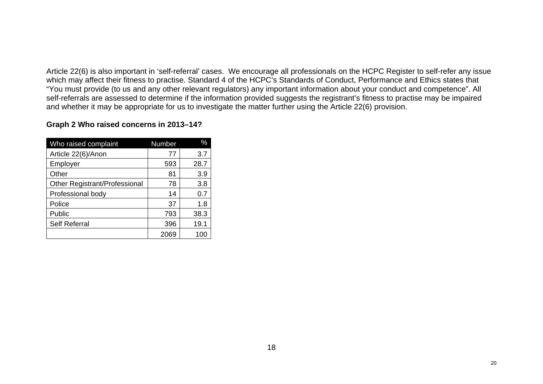Article 22(6) is also important in 'self-referral' cases. We encourage all professionals on the HCPC Register to self-refer any issue which may affect their fitness to practise. Standard 4 of the HCPC's Standards of Conduct, Performance and Ethics states that "You must provide (to us and any other relevant regulators) any important information about your conduct and competence". All self-referrals are assessed to determine if the information provided suggests the registrant's fitness to practise may be impaired and whether it may be appropriate for us to investigate the matter further using the Article 22(6) provision.

#### **Graph 2 Who raised concerns in 2013–14?**

| Who raised complaint          | Number | %    |
|-------------------------------|--------|------|
| Article 22(6)/Anon            | 77     | 3.7  |
| Employer                      | 593    | 28.7 |
| Other                         | 81     | 3.9  |
| Other Registrant/Professional | 78     | 3.8  |
| Professional body             | 14     | 0.7  |
| Police                        | 37     | 1.8  |
| Public                        | 793    | 38.3 |
| <b>Self Referral</b>          | 396    | 19.1 |
|                               | 2069   |      |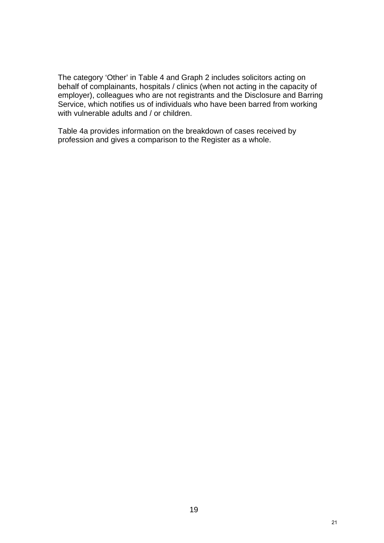The category 'Other' in Table 4 and Graph 2 includes solicitors acting on behalf of complainants, hospitals / clinics (when not acting in the capacity of employer), colleagues who are not registrants and the Disclosure and Barring Service, which notifies us of individuals who have been barred from working with vulnerable adults and / or children.

Table 4a provides information on the breakdown of cases received by profession and gives a comparison to the Register as a whole.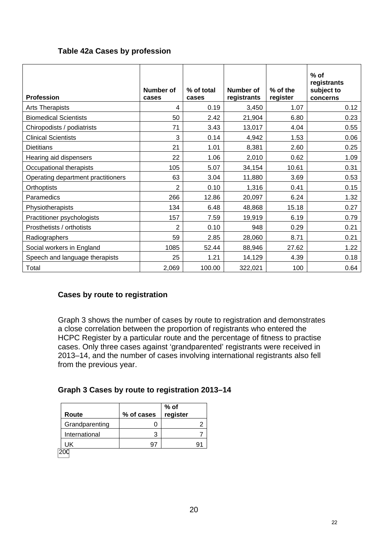## **Table 42a Cases by profession**

| <b>Profession</b>                  | Number of<br>cases | % of total<br>cases | Number of<br>registrants | % of the<br>register | $%$ of<br>registrants<br>subject to<br>concerns |
|------------------------------------|--------------------|---------------------|--------------------------|----------------------|-------------------------------------------------|
| <b>Arts Therapists</b>             | 4                  | 0.19                | 3,450                    | 1.07                 | 0.12                                            |
| <b>Biomedical Scientists</b>       | 50                 | 2.42                | 21,904                   | 6.80                 | 0.23                                            |
| Chiropodists / podiatrists         | 71                 | 3.43                | 13,017                   | 4.04                 | 0.55                                            |
| <b>Clinical Scientists</b>         | 3                  | 0.14                | 4,942                    | 1.53                 | 0.06                                            |
| <b>Dietitians</b>                  | 21                 | 1.01                | 8,381                    | 2.60                 | 0.25                                            |
| Hearing aid dispensers             | 22                 | 1.06                | 2,010                    | 0.62                 | 1.09                                            |
| Occupational therapists            | 105                | 5.07                | 34,154                   | 10.61                | 0.31                                            |
| Operating department practitioners | 63                 | 3.04                | 11,880                   | 3.69                 | 0.53                                            |
| Orthoptists                        | $\overline{2}$     | 0.10                | 1,316                    | 0.41                 | 0.15                                            |
| Paramedics                         | 266                | 12.86               | 20,097                   | 6.24                 | 1.32                                            |
| Physiotherapists                   | 134                | 6.48                | 48,868                   | 15.18                | 0.27                                            |
| Practitioner psychologists         | 157                | 7.59                | 19,919                   | 6.19                 | 0.79                                            |
| Prosthetists / orthotists          | $\overline{2}$     | 0.10                | 948                      | 0.29                 | 0.21                                            |
| Radiographers                      | 59                 | 2.85                | 28,060                   | 8.71                 | 0.21                                            |
| Social workers in England          | 1085               | 52.44               | 88,946                   | 27.62                | 1.22                                            |
| Speech and language therapists     | 25                 | 1.21                | 14,129                   | 4.39                 | 0.18                                            |
| Total                              | 2,069              | 100.00              | 322,021                  | 100                  | 0.64                                            |

## **Cases by route to registration**

Graph 3 shows the number of cases by route to registration and demonstrates a close correlation between the proportion of registrants who entered the HCPC Register by a particular route and the percentage of fitness to practise cases. Only three cases against 'grandparented' registrants were received in 2013–14, and the number of cases involving international registrants also fell from the previous year.

#### **Graph 3 Cases by route to registration 2013–14**

| % of cases | % of<br>register |
|------------|------------------|
|            |                  |
|            |                  |
|            |                  |
|            |                  |

<sup>200</sup>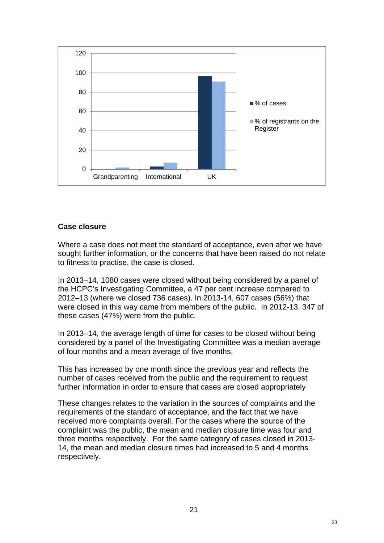

#### **Case closure**

Where a case does not meet the standard of acceptance, even after we have sought further information, or the concerns that have been raised do not relate to fitness to practise, the case is closed.

In 2013–14, 1080 cases were closed without being considered by a panel of the HCPC's Investigating Committee, a 47 per cent increase compared to 2012–13 (where we closed 736 cases). In 2013-14, 607 cases (56%) that were closed in this way came from members of the public. In 2012-13, 347 of these cases (47%) were from the public.

In 2013–14, the average length of time for cases to be closed without being considered by a panel of the Investigating Committee was a median average of four months and a mean average of five months.

This has increased by one month since the previous year and reflects the number of cases received from the public and the requirement to request further information in order to ensure that cases are closed appropriately

These changes relates to the variation in the sources of complaints and the requirements of the standard of acceptance, and the fact that we have received more complaints overall. For the cases where the source of the complaint was the public, the mean and median closure time was four and three months respectively. For the same category of cases closed in 2013- 14, the mean and median closure times had increased to 5 and 4 months respectively.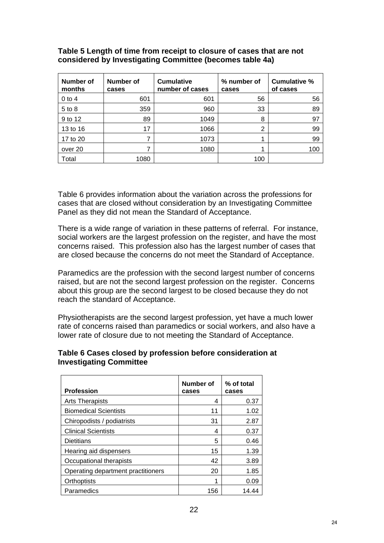| Number of<br>months | Number of<br>cases | <b>Cumulative</b><br>number of cases | % number of<br>cases | Cumulative %<br>of cases |
|---------------------|--------------------|--------------------------------------|----------------------|--------------------------|
| $0$ to 4            | 601                | 601                                  | 56                   | 56                       |
| $5$ to $8$          | 359                | 960                                  | 33                   | 89                       |
| 9 to 12             | 89                 | 1049                                 | 8                    | 97                       |
| 13 to 16            | 17                 | 1066                                 | 2                    | 99                       |
| 17 to 20            | ⇁                  | 1073                                 | 1                    | 99                       |
| over 20             | ⇁                  | 1080                                 |                      | 100                      |
| Total               | 1080               |                                      | 100                  |                          |

#### **Table 5 Length of time from receipt to closure of cases that are not considered by Investigating Committee (becomes table 4a)**

Table 6 provides information about the variation across the professions for cases that are closed without consideration by an Investigating Committee Panel as they did not mean the Standard of Acceptance.

There is a wide range of variation in these patterns of referral. For instance, social workers are the largest profession on the register, and have the most concerns raised. This profession also has the largest number of cases that are closed because the concerns do not meet the Standard of Acceptance.

Paramedics are the profession with the second largest number of concerns raised, but are not the second largest profession on the register. Concerns about this group are the second largest to be closed because they do not reach the standard of Acceptance.

Physiotherapists are the second largest profession, yet have a much lower rate of concerns raised than paramedics or social workers, and also have a lower rate of closure due to not meeting the Standard of Acceptance.

#### **Table 6 Cases closed by profession before consideration at Investigating Committee**

| <b>Profession</b>                  | Number of<br>cases | % of total<br>cases |
|------------------------------------|--------------------|---------------------|
| <b>Arts Therapists</b>             | 4                  | 0.37                |
| <b>Biomedical Scientists</b>       | 11                 | 1.02                |
| Chiropodists / podiatrists         | 31                 | 2.87                |
| <b>Clinical Scientists</b>         | 4                  | 0.37                |
| <b>Dietitians</b>                  | 5                  | 0.46                |
| Hearing aid dispensers             | 15                 | 1.39                |
| Occupational therapists            | 42                 | 3.89                |
| Operating department practitioners | 20                 | 1.85                |
| Orthoptists                        | 1                  | 0.09                |
| Paramedics                         | 156                | 14.44               |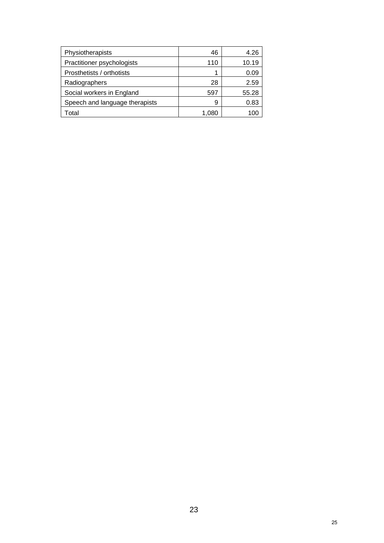| Physiotherapists               | 46    | 4.26  |
|--------------------------------|-------|-------|
| Practitioner psychologists     | 110   | 10.19 |
| Prosthetists / orthotists      |       | 0.09  |
| Radiographers                  | 28    | 2.59  |
| Social workers in England      | 597   | 55.28 |
| Speech and language therapists | 9     | 0.83  |
| Total                          | 1.080 |       |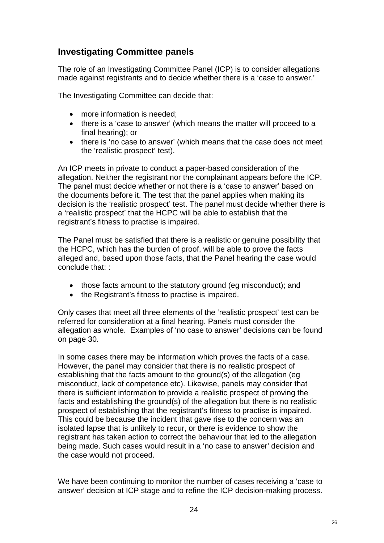# **Investigating Committee panels**

The role of an Investigating Committee Panel (ICP) is to consider allegations made against registrants and to decide whether there is a 'case to answer.'

The Investigating Committee can decide that:

- more information is needed:
- there is a 'case to answer' (which means the matter will proceed to a final hearing); or
- there is 'no case to answer' (which means that the case does not meet the 'realistic prospect' test).

An ICP meets in private to conduct a paper-based consideration of the allegation. Neither the registrant nor the complainant appears before the ICP. The panel must decide whether or not there is a 'case to answer' based on the documents before it. The test that the panel applies when making its decision is the 'realistic prospect' test. The panel must decide whether there is a 'realistic prospect' that the HCPC will be able to establish that the registrant's fitness to practise is impaired.

The Panel must be satisfied that there is a realistic or genuine possibility that the HCPC, which has the burden of proof, will be able to prove the facts alleged and, based upon those facts, that the Panel hearing the case would conclude that: :

- those facts amount to the statutory ground (eg misconduct); and
- the Registrant's fitness to practise is impaired.

Only cases that meet all three elements of the 'realistic prospect' test can be referred for consideration at a final hearing. Panels must consider the allegation as whole. Examples of 'no case to answer' decisions can be found on page 30.

In some cases there may be information which proves the facts of a case. However, the panel may consider that there is no realistic prospect of establishing that the facts amount to the ground(s) of the allegation (eg misconduct, lack of competence etc). Likewise, panels may consider that there is sufficient information to provide a realistic prospect of proving the facts and establishing the ground(s) of the allegation but there is no realistic prospect of establishing that the registrant's fitness to practise is impaired. This could be because the incident that gave rise to the concern was an isolated lapse that is unlikely to recur, or there is evidence to show the registrant has taken action to correct the behaviour that led to the allegation being made. Such cases would result in a 'no case to answer' decision and the case would not proceed.

We have been continuing to monitor the number of cases receiving a 'case to answer' decision at ICP stage and to refine the ICP decision-making process.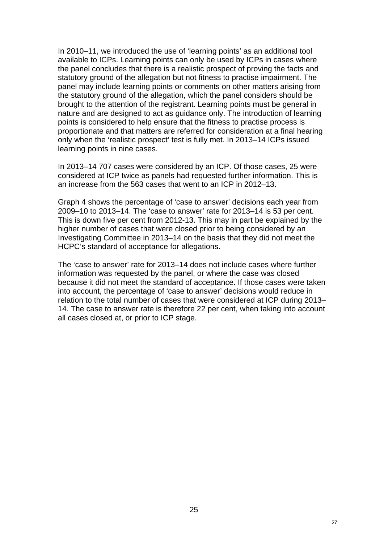In 2010–11, we introduced the use of 'learning points' as an additional tool available to ICPs. Learning points can only be used by ICPs in cases where the panel concludes that there is a realistic prospect of proving the facts and statutory ground of the allegation but not fitness to practise impairment. The panel may include learning points or comments on other matters arising from the statutory ground of the allegation, which the panel considers should be brought to the attention of the registrant. Learning points must be general in nature and are designed to act as guidance only. The introduction of learning points is considered to help ensure that the fitness to practise process is proportionate and that matters are referred for consideration at a final hearing only when the 'realistic prospect' test is fully met. In 2013–14 ICPs issued learning points in nine cases.

In 2013–14 707 cases were considered by an ICP. Of those cases, 25 were considered at ICP twice as panels had requested further information. This is an increase from the 563 cases that went to an ICP in 2012–13.

Graph 4 shows the percentage of 'case to answer' decisions each year from 2009–10 to 2013–14. The 'case to answer' rate for 2013–14 is 53 per cent. This is down five per cent from 2012-13. This may in part be explained by the higher number of cases that were closed prior to being considered by an Investigating Committee in 2013–14 on the basis that they did not meet the HCPC's standard of acceptance for allegations.

The 'case to answer' rate for 2013–14 does not include cases where further information was requested by the panel, or where the case was closed because it did not meet the standard of acceptance. If those cases were taken into account, the percentage of 'case to answer' decisions would reduce in relation to the total number of cases that were considered at ICP during 2013– 14. The case to answer rate is therefore 22 per cent, when taking into account all cases closed at, or prior to ICP stage.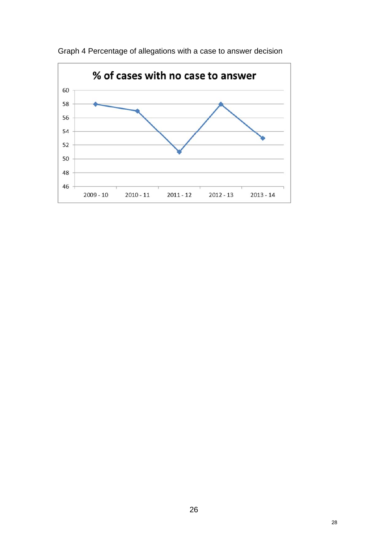

Graph 4 Percentage of allegations with a case to answer decision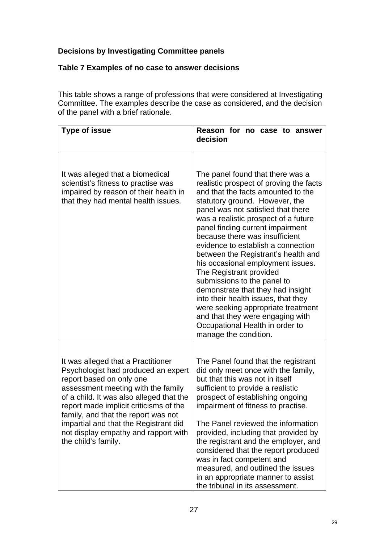# **Decisions by Investigating Committee panels**

# **Table 7 Examples of no case to answer decisions**

This table shows a range of professions that were considered at Investigating Committee. The examples describe the case as considered, and the decision of the panel with a brief rationale.

| <b>Type of issue</b>                                                                                                                                                                                                                                                                                                                                                             | Reason for no case to answer<br>decision                                                                                                                                                                                                                                                                                                                                                                                                                                                                                                                                                                                                                                                              |  |  |  |  |
|----------------------------------------------------------------------------------------------------------------------------------------------------------------------------------------------------------------------------------------------------------------------------------------------------------------------------------------------------------------------------------|-------------------------------------------------------------------------------------------------------------------------------------------------------------------------------------------------------------------------------------------------------------------------------------------------------------------------------------------------------------------------------------------------------------------------------------------------------------------------------------------------------------------------------------------------------------------------------------------------------------------------------------------------------------------------------------------------------|--|--|--|--|
| It was alleged that a biomedical<br>scientist's fitness to practise was<br>impaired by reason of their health in<br>that they had mental health issues.                                                                                                                                                                                                                          | The panel found that there was a<br>realistic prospect of proving the facts<br>and that the facts amounted to the<br>statutory ground. However, the<br>panel was not satisfied that there<br>was a realistic prospect of a future<br>panel finding current impairment<br>because there was insufficient<br>evidence to establish a connection<br>between the Registrant's health and<br>his occasional employment issues.<br>The Registrant provided<br>submissions to the panel to<br>demonstrate that they had insight<br>into their health issues, that they<br>were seeking appropriate treatment<br>and that they were engaging with<br>Occupational Health in order to<br>manage the condition. |  |  |  |  |
| It was alleged that a Practitioner<br>Psychologist had produced an expert<br>report based on only one<br>assessment meeting with the family<br>of a child. It was also alleged that the<br>report made implicit criticisms of the<br>family, and that the report was not<br>impartial and that the Registrant did<br>not display empathy and rapport with<br>the child's family. | The Panel found that the registrant<br>did only meet once with the family,<br>but that this was not in itself<br>sufficient to provide a realistic<br>prospect of establishing ongoing<br>impairment of fitness to practise.<br>The Panel reviewed the information<br>provided, including that provided by<br>the registrant and the employer, and<br>considered that the report produced<br>was in fact competent and<br>measured, and outlined the issues<br>in an appropriate manner to assist<br>the tribunal in its assessment.                                                                                                                                                                  |  |  |  |  |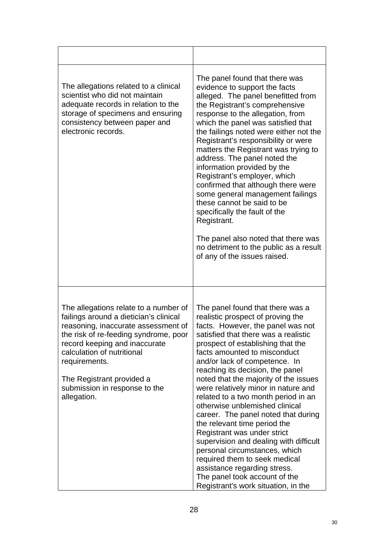| The allegations related to a clinical<br>scientist who did not maintain<br>adequate records in relation to the<br>storage of specimens and ensuring<br>consistency between paper and<br>electronic records.                                                                                                                  | The panel found that there was<br>evidence to support the facts<br>alleged. The panel benefitted from<br>the Registrant's comprehensive<br>response to the allegation, from<br>which the panel was satisfied that<br>the failings noted were either not the<br>Registrant's responsibility or were<br>matters the Registrant was trying to<br>address. The panel noted the<br>information provided by the<br>Registrant's employer, which<br>confirmed that although there were<br>some general management failings<br>these cannot be said to be<br>specifically the fault of the<br>Registrant.<br>The panel also noted that there was<br>no detriment to the public as a result<br>of any of the issues raised.                                                              |
|------------------------------------------------------------------------------------------------------------------------------------------------------------------------------------------------------------------------------------------------------------------------------------------------------------------------------|---------------------------------------------------------------------------------------------------------------------------------------------------------------------------------------------------------------------------------------------------------------------------------------------------------------------------------------------------------------------------------------------------------------------------------------------------------------------------------------------------------------------------------------------------------------------------------------------------------------------------------------------------------------------------------------------------------------------------------------------------------------------------------|
| The allegations relate to a number of<br>failings around a dietician's clinical<br>reasoning, inaccurate assessment of<br>the risk of re-feeding syndrome, poor<br>record keeping and inaccurate<br>calculation of nutritional<br>requirements.<br>The Registrant provided a<br>submission in response to the<br>allegation. | The panel found that there was a<br>realistic prospect of proving the<br>facts. However, the panel was not<br>satisfied that there was a realistic<br>prospect of establishing that the<br>facts amounted to misconduct<br>and/or lack of competence. In<br>reaching its decision, the panel<br>noted that the majority of the issues<br>were relatively minor in nature and<br>related to a two month period in an<br>otherwise unblemished clinical<br>career. The panel noted that during<br>the relevant time period the<br>Registrant was under strict<br>supervision and dealing with difficult<br>personal circumstances, which<br>required them to seek medical<br>assistance regarding stress.<br>The panel took account of the<br>Registrant's work situation, in the |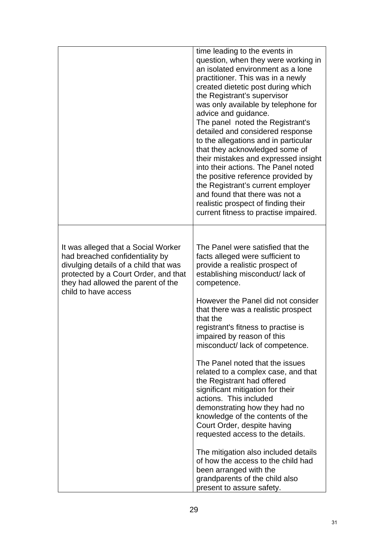|                                                                                                                                                                                                                       | time leading to the events in<br>question, when they were working in<br>an isolated environment as a lone<br>practitioner. This was in a newly<br>created dietetic post during which<br>the Registrant's supervisor<br>was only available by telephone for<br>advice and guidance.<br>The panel noted the Registrant's<br>detailed and considered response<br>to the allegations and in particular<br>that they acknowledged some of<br>their mistakes and expressed insight<br>into their actions. The Panel noted<br>the positive reference provided by<br>the Registrant's current employer<br>and found that there was not a<br>realistic prospect of finding their<br>current fitness to practise impaired.                                                                                                                                  |
|-----------------------------------------------------------------------------------------------------------------------------------------------------------------------------------------------------------------------|---------------------------------------------------------------------------------------------------------------------------------------------------------------------------------------------------------------------------------------------------------------------------------------------------------------------------------------------------------------------------------------------------------------------------------------------------------------------------------------------------------------------------------------------------------------------------------------------------------------------------------------------------------------------------------------------------------------------------------------------------------------------------------------------------------------------------------------------------|
| It was alleged that a Social Worker<br>had breached confidentiality by<br>divulging details of a child that was<br>protected by a Court Order, and that<br>they had allowed the parent of the<br>child to have access | The Panel were satisfied that the<br>facts alleged were sufficient to<br>provide a realistic prospect of<br>establishing misconduct/ lack of<br>competence.<br>However the Panel did not consider<br>that there was a realistic prospect<br>that the<br>registrant's fitness to practise is<br>impaired by reason of this<br>misconduct/ lack of competence.<br>The Panel noted that the issues<br>related to a complex case, and that<br>the Registrant had offered<br>significant mitigation for their<br>actions. This included<br>demonstrating how they had no<br>knowledge of the contents of the<br>Court Order, despite having<br>requested access to the details.<br>The mitigation also included details<br>of how the access to the child had<br>been arranged with the<br>grandparents of the child also<br>present to assure safety. |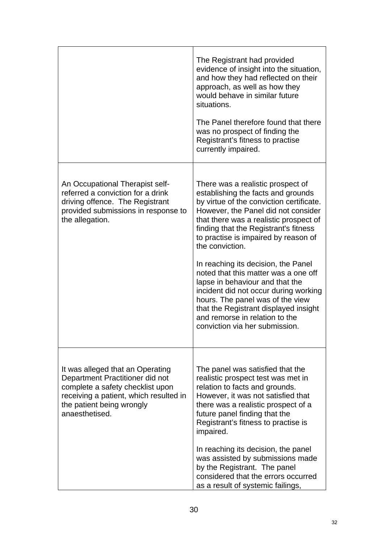|                                                                                                                                                                                                  | The Registrant had provided<br>evidence of insight into the situation,<br>and how they had reflected on their<br>approach, as well as how they<br>would behave in similar future<br>situations.<br>The Panel therefore found that there<br>was no prospect of finding the<br>Registrant's fitness to practise<br>currently impaired.                                                                                                                                                                                                                                                                                 |
|--------------------------------------------------------------------------------------------------------------------------------------------------------------------------------------------------|----------------------------------------------------------------------------------------------------------------------------------------------------------------------------------------------------------------------------------------------------------------------------------------------------------------------------------------------------------------------------------------------------------------------------------------------------------------------------------------------------------------------------------------------------------------------------------------------------------------------|
| An Occupational Therapist self-<br>referred a conviction for a drink<br>driving offence. The Registrant<br>provided submissions in response to<br>the allegation.                                | There was a realistic prospect of<br>establishing the facts and grounds<br>by virtue of the conviction certificate.<br>However, the Panel did not consider<br>that there was a realistic prospect of<br>finding that the Registrant's fitness<br>to practise is impaired by reason of<br>the conviction.<br>In reaching its decision, the Panel<br>noted that this matter was a one off<br>lapse in behaviour and that the<br>incident did not occur during working<br>hours. The panel was of the view<br>that the Registrant displayed insight<br>and remorse in relation to the<br>conviction via her submission. |
| It was alleged that an Operating<br>Department Practitioner did not<br>complete a safety checklist upon<br>receiving a patient, which resulted in<br>the patient being wrongly<br>anaesthetised. | The panel was satisfied that the<br>realistic prospect test was met in<br>relation to facts and grounds.<br>However, it was not satisfied that<br>there was a realistic prospect of a<br>future panel finding that the<br>Registrant's fitness to practise is<br>impaired.<br>In reaching its decision, the panel<br>was assisted by submissions made<br>by the Registrant. The panel<br>considered that the errors occurred<br>as a result of systemic failings,                                                                                                                                                    |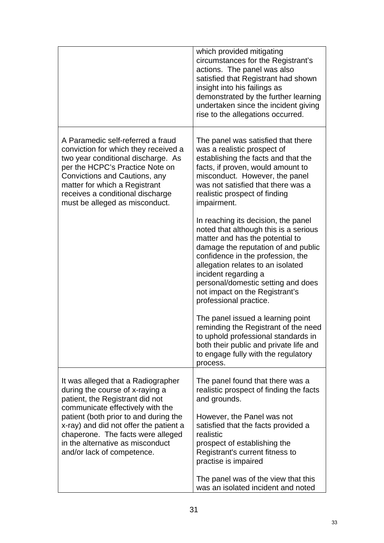|                                                                                                                                                                                                                                                                                            | which provided mitigating<br>circumstances for the Registrant's<br>actions. The panel was also<br>satisfied that Registrant had shown<br>insight into his failings as<br>demonstrated by the further learning<br>undertaken since the incident giving<br>rise to the allegations occurred.                                                                 |
|--------------------------------------------------------------------------------------------------------------------------------------------------------------------------------------------------------------------------------------------------------------------------------------------|------------------------------------------------------------------------------------------------------------------------------------------------------------------------------------------------------------------------------------------------------------------------------------------------------------------------------------------------------------|
| A Paramedic self-referred a fraud<br>conviction for which they received a<br>two year conditional discharge. As<br>per the HCPC's Practice Note on<br>Convictions and Cautions, any<br>matter for which a Registrant<br>receives a conditional discharge<br>must be alleged as misconduct. | The panel was satisfied that there<br>was a realistic prospect of<br>establishing the facts and that the<br>facts, if proven, would amount to<br>misconduct. However, the panel<br>was not satisfied that there was a<br>realistic prospect of finding<br>impairment.                                                                                      |
|                                                                                                                                                                                                                                                                                            | In reaching its decision, the panel<br>noted that although this is a serious<br>matter and has the potential to<br>damage the reputation of and public<br>confidence in the profession, the<br>allegation relates to an isolated<br>incident regarding a<br>personal/domestic setting and does<br>not impact on the Registrant's<br>professional practice. |
|                                                                                                                                                                                                                                                                                            | The panel issued a learning point<br>reminding the Registrant of the need<br>to uphold professional standards in<br>both their public and private life and<br>to engage fully with the regulatory<br>process.                                                                                                                                              |
| It was alleged that a Radiographer<br>during the course of x-raying a<br>patient, the Registrant did not<br>communicate effectively with the                                                                                                                                               | The panel found that there was a<br>realistic prospect of finding the facts<br>and grounds.                                                                                                                                                                                                                                                                |
| patient (both prior to and during the<br>x-ray) and did not offer the patient a<br>chaperone. The facts were alleged<br>in the alternative as misconduct<br>and/or lack of competence.                                                                                                     | However, the Panel was not<br>satisfied that the facts provided a<br>realistic<br>prospect of establishing the<br>Registrant's current fitness to<br>practise is impaired                                                                                                                                                                                  |
|                                                                                                                                                                                                                                                                                            | The panel was of the view that this<br>was an isolated incident and noted                                                                                                                                                                                                                                                                                  |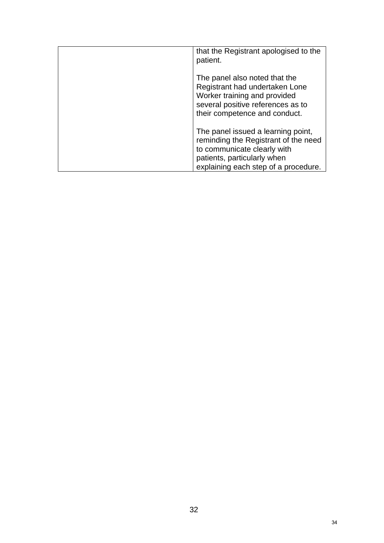| that the Registrant apologised to the<br>patient.                                                                                                                                |
|----------------------------------------------------------------------------------------------------------------------------------------------------------------------------------|
| The panel also noted that the<br>Registrant had undertaken Lone<br>Worker training and provided<br>several positive references as to<br>their competence and conduct.            |
| The panel issued a learning point,<br>reminding the Registrant of the need<br>to communicate clearly with<br>patients, particularly when<br>explaining each step of a procedure. |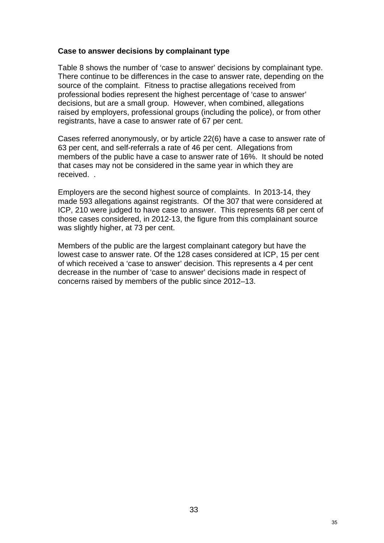#### **Case to answer decisions by complainant type**

Table 8 shows the number of 'case to answer' decisions by complainant type. There continue to be differences in the case to answer rate, depending on the source of the complaint. Fitness to practise allegations received from professional bodies represent the highest percentage of 'case to answer' decisions, but are a small group. However, when combined, allegations raised by employers, professional groups (including the police), or from other registrants, have a case to answer rate of 67 per cent.

Cases referred anonymously, or by article 22(6) have a case to answer rate of 63 per cent, and self-referrals a rate of 46 per cent. Allegations from members of the public have a case to answer rate of 16%. It should be noted that cases may not be considered in the same year in which they are received. .

Employers are the second highest source of complaints. In 2013-14, they made 593 allegations against registrants. Of the 307 that were considered at ICP, 210 were judged to have case to answer. This represents 68 per cent of those cases considered, in 2012-13, the figure from this complainant source was slightly higher, at 73 per cent.

Members of the public are the largest complainant category but have the lowest case to answer rate. Of the 128 cases considered at ICP, 15 per cent of which received a 'case to answer' decision. This represents a 4 per cent decrease in the number of 'case to answer' decisions made in respect of concerns raised by members of the public since 2012–13.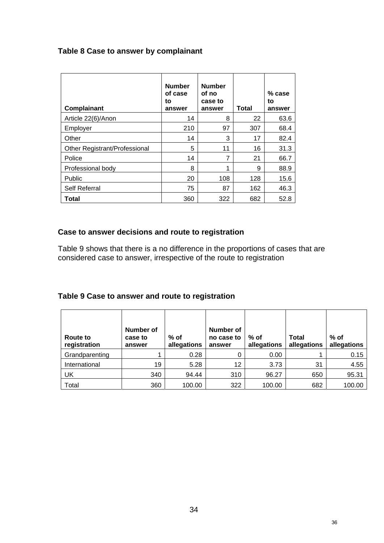# **Table 8 Case to answer by complainant**

| Complainant                   | <b>Number</b><br>of case<br>to<br>answer | <b>Number</b><br>of no<br>case to<br>answer | <b>Total</b> | $%$ case<br>to<br>answer |
|-------------------------------|------------------------------------------|---------------------------------------------|--------------|--------------------------|
| Article 22(6)/Anon            | 14                                       | 8                                           | 22           | 63.6                     |
| Employer                      | 210                                      | 97                                          | 307          | 68.4                     |
| Other                         | 14                                       | 3                                           | 17           | 82.4                     |
| Other Registrant/Professional | 5                                        | 11                                          | 16           | 31.3                     |
| Police                        | 14                                       | 7                                           | 21           | 66.7                     |
| Professional body             | 8                                        | 1                                           | 9            | 88.9                     |
| Public                        | 20                                       | 108                                         | 128          | 15.6                     |
| <b>Self Referral</b>          | 75                                       | 87                                          | 162          | 46.3                     |
| Total                         | 360                                      | 322                                         | 682          | 52.8                     |

# **Case to answer decisions and route to registration**

Table 9 shows that there is a no difference in the proportions of cases that are considered case to answer, irrespective of the route to registration

# **Table 9 Case to answer and route to registration**

| <b>Route to</b><br>registration | Number of<br>case to<br>answer | % of<br>allegations | Number of<br>no case to<br>answer | $%$ of<br>allegations | <b>Total</b><br>allegations | $%$ of<br>allegations |
|---------------------------------|--------------------------------|---------------------|-----------------------------------|-----------------------|-----------------------------|-----------------------|
| Grandparenting                  |                                | 0.28                |                                   | 0.00                  |                             | 0.15                  |
| International                   | 19                             | 5.28                | 12                                | 3.73                  | 31                          | 4.55                  |
| UK                              | 340                            | 94.44               | 310                               | 96.27                 | 650                         | 95.31                 |
| Total                           | 360                            | 100.00              | 322                               | 100.00                | 682                         | 100.00                |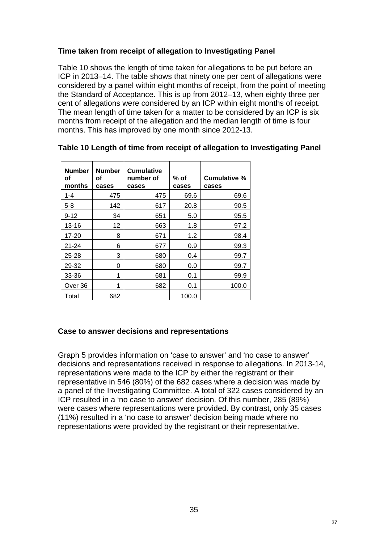## **Time taken from receipt of allegation to Investigating Panel**

Table 10 shows the length of time taken for allegations to be put before an ICP in 2013–14. The table shows that ninety one per cent of allegations were considered by a panel within eight months of receipt, from the point of meeting the Standard of Acceptance. This is up from 2012–13, when eighty three per cent of allegations were considered by an ICP within eight months of receipt. The mean length of time taken for a matter to be considered by an ICP is six months from receipt of the allegation and the median length of time is four months. This has improved by one month since 2012-13.

| <b>Number</b><br>οf<br>months | <b>Number</b><br>οf<br>cases | <b>Cumulative</b><br>number of<br>cases | % of<br>cases | Cumulative %<br>cases |
|-------------------------------|------------------------------|-----------------------------------------|---------------|-----------------------|
| $1 - 4$                       | 475                          | 475                                     | 69.6          | 69.6                  |
| $5 - 8$                       | 142                          | 617                                     | 20.8          | 90.5                  |
| $9 - 12$                      | 34                           | 651                                     | 5.0           | 95.5                  |
| 13-16                         | 12                           | 663                                     | 1.8           | 97.2                  |
| 17-20                         | 8                            | 671                                     | 1.2           | 98.4                  |
| $21 - 24$                     | 6                            | 677                                     | 0.9           | 99.3                  |
| $25 - 28$                     | 3                            | 680                                     | 0.4           | 99.7                  |
| 29-32                         | 0                            | 680                                     | 0.0           | 99.7                  |
| 33-36                         | 1                            | 681                                     | 0.1           | 99.9                  |
| Over 36                       | 1                            | 682                                     | 0.1           | 100.0                 |
| Total                         | 682                          |                                         | 100.0         |                       |

#### **Table 10 Length of time from receipt of allegation to Investigating Panel**

#### **Case to answer decisions and representations**

Graph 5 provides information on 'case to answer' and 'no case to answer' decisions and representations received in response to allegations. In 2013-14, representations were made to the ICP by either the registrant or their representative in 546 (80%) of the 682 cases where a decision was made by a panel of the Investigating Committee. A total of 322 cases considered by an ICP resulted in a 'no case to answer' decision. Of this number, 285 (89%) were cases where representations were provided. By contrast, only 35 cases (11%) resulted in a 'no case to answer' decision being made where no representations were provided by the registrant or their representative.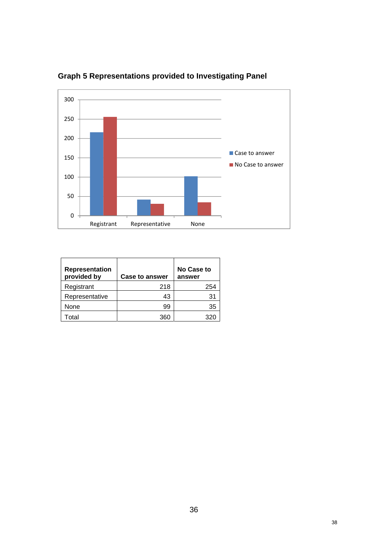

**Graph 5 Representations provided to Investigating Panel** 

| Representation<br>provided by | <b>Case to answer</b> | <b>No Case to</b><br>answer |
|-------------------------------|-----------------------|-----------------------------|
| Registrant                    | 218                   | 254                         |
| Representative                | 43                    | 31                          |
| None                          | 99                    | 35                          |
| Total                         | 360                   |                             |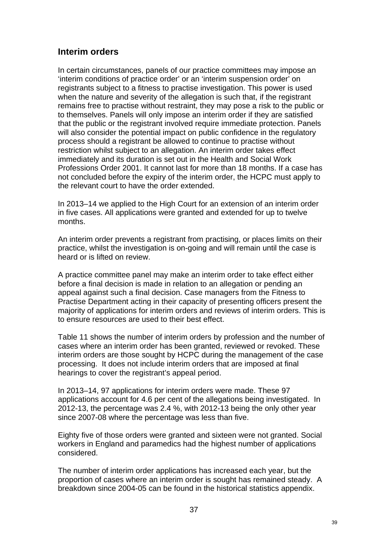## **Interim orders**

In certain circumstances, panels of our practice committees may impose an 'interim conditions of practice order' or an 'interim suspension order' on registrants subject to a fitness to practise investigation. This power is used when the nature and severity of the allegation is such that, if the registrant remains free to practise without restraint, they may pose a risk to the public or to themselves. Panels will only impose an interim order if they are satisfied that the public or the registrant involved require immediate protection. Panels will also consider the potential impact on public confidence in the regulatory process should a registrant be allowed to continue to practise without restriction whilst subject to an allegation. An interim order takes effect immediately and its duration is set out in the Health and Social Work Professions Order 2001. It cannot last for more than 18 months. If a case has not concluded before the expiry of the interim order, the HCPC must apply to the relevant court to have the order extended.

In 2013–14 we applied to the High Court for an extension of an interim order in five cases. All applications were granted and extended for up to twelve months.

An interim order prevents a registrant from practising, or places limits on their practice, whilst the investigation is on-going and will remain until the case is heard or is lifted on review.

A practice committee panel may make an interim order to take effect either before a final decision is made in relation to an allegation or pending an appeal against such a final decision. Case managers from the Fitness to Practise Department acting in their capacity of presenting officers present the majority of applications for interim orders and reviews of interim orders. This is to ensure resources are used to their best effect.

Table 11 shows the number of interim orders by profession and the number of cases where an interim order has been granted, reviewed or revoked. These interim orders are those sought by HCPC during the management of the case processing. It does not include interim orders that are imposed at final hearings to cover the registrant's appeal period.

In 2013–14, 97 applications for interim orders were made. These 97 applications account for 4.6 per cent of the allegations being investigated. In 2012-13, the percentage was 2.4 %, with 2012-13 being the only other year since 2007-08 where the percentage was less than five.

Eighty five of those orders were granted and sixteen were not granted. Social workers in England and paramedics had the highest number of applications considered.

The number of interim order applications has increased each year, but the proportion of cases where an interim order is sought has remained steady. A breakdown since 2004-05 can be found in the historical statistics appendix.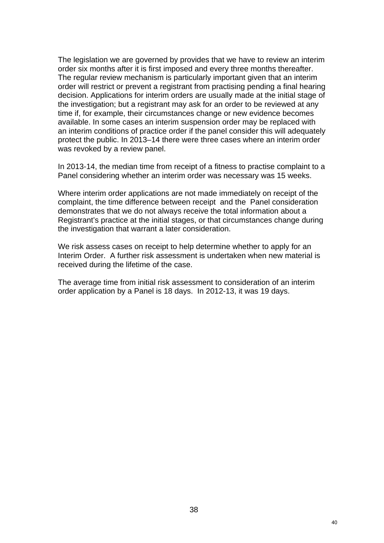The legislation we are governed by provides that we have to review an interim order six months after it is first imposed and every three months thereafter. The regular review mechanism is particularly important given that an interim order will restrict or prevent a registrant from practising pending a final hearing decision. Applications for interim orders are usually made at the initial stage of the investigation; but a registrant may ask for an order to be reviewed at any time if, for example, their circumstances change or new evidence becomes available. In some cases an interim suspension order may be replaced with an interim conditions of practice order if the panel consider this will adequately protect the public. In 2013–14 there were three cases where an interim order was revoked by a review panel.

In 2013-14, the median time from receipt of a fitness to practise complaint to a Panel considering whether an interim order was necessary was 15 weeks.

Where interim order applications are not made immediately on receipt of the complaint, the time difference between receipt and the Panel consideration demonstrates that we do not always receive the total information about a Registrant's practice at the initial stages, or that circumstances change during the investigation that warrant a later consideration.

We risk assess cases on receipt to help determine whether to apply for an Interim Order. A further risk assessment is undertaken when new material is received during the lifetime of the case.

The average time from initial risk assessment to consideration of an interim order application by a Panel is 18 days. In 2012-13, it was 19 days.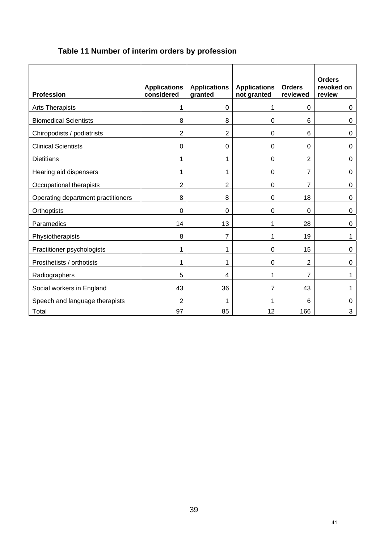# **Table 11 Number of interim orders by profession**

| <b>Profession</b>                  | <b>Applications</b><br>considered | <b>Applications</b><br>granted | <b>Applications</b><br>not granted | <b>Orders</b><br>reviewed | <b>Orders</b><br>revoked on<br>review |
|------------------------------------|-----------------------------------|--------------------------------|------------------------------------|---------------------------|---------------------------------------|
| Arts Therapists                    | 1                                 | $\mathbf 0$                    | 1                                  | 0                         | 0                                     |
| <b>Biomedical Scientists</b>       | 8                                 | 8                              | $\mathbf 0$                        | 6                         | 0                                     |
| Chiropodists / podiatrists         | $\overline{2}$                    | $\overline{2}$                 | $\mathbf 0$                        | 6                         | 0                                     |
| <b>Clinical Scientists</b>         | 0                                 | $\mathbf 0$                    | $\boldsymbol{0}$                   | 0                         | 0                                     |
| <b>Dietitians</b>                  | 1                                 | 1                              | $\mathbf 0$                        | $\overline{2}$            | 0                                     |
| Hearing aid dispensers             | 1                                 | 1                              | $\mathbf 0$                        | 7                         | $\pmb{0}$                             |
| Occupational therapists            | $\overline{2}$                    | 2                              | 0                                  | $\overline{7}$            | 0                                     |
| Operating department practitioners | 8                                 | 8                              | 0                                  | 18                        | $\mathbf 0$                           |
| Orthoptists                        | $\Omega$                          | $\Omega$                       | 0                                  | $\mathbf 0$               | 0                                     |
| Paramedics                         | 14                                | 13                             | 1                                  | 28                        | 0                                     |
| Physiotherapists                   | 8                                 | 7                              | 1                                  | 19                        | 1                                     |
| Practitioner psychologists         | 1                                 | 1                              | 0                                  | 15                        | 0                                     |
| Prosthetists / orthotists          | 1                                 | 1                              | $\mathbf 0$                        | $\overline{2}$            | 0                                     |
| Radiographers                      | 5                                 | 4                              | 1                                  | 7                         | 1                                     |
| Social workers in England          | 43                                | 36                             | $\overline{7}$                     | 43                        | 1                                     |
| Speech and language therapists     | $\overline{2}$                    | 1                              | 1                                  | 6                         | 0                                     |
| Total                              | 97                                | 85                             | 12                                 | 166                       | 3                                     |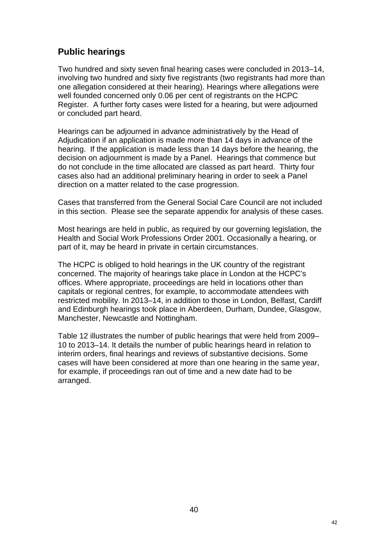## **Public hearings**

Two hundred and sixty seven final hearing cases were concluded in 2013–14, involving two hundred and sixty five registrants (two registrants had more than one allegation considered at their hearing). Hearings where allegations were well founded concerned only 0.06 per cent of registrants on the HCPC Register. A further forty cases were listed for a hearing, but were adjourned or concluded part heard.

Hearings can be adjourned in advance administratively by the Head of Adjudication if an application is made more than 14 days in advance of the hearing. If the application is made less than 14 days before the hearing, the decision on adjournment is made by a Panel. Hearings that commence but do not conclude in the time allocated are classed as part heard. Thirty four cases also had an additional preliminary hearing in order to seek a Panel direction on a matter related to the case progression.

Cases that transferred from the General Social Care Council are not included in this section. Please see the separate appendix for analysis of these cases.

Most hearings are held in public, as required by our governing legislation, the Health and Social Work Professions Order 2001. Occasionally a hearing, or part of it, may be heard in private in certain circumstances.

The HCPC is obliged to hold hearings in the UK country of the registrant concerned. The majority of hearings take place in London at the HCPC's offices. Where appropriate, proceedings are held in locations other than capitals or regional centres, for example, to accommodate attendees with restricted mobility. In 2013–14, in addition to those in London, Belfast, Cardiff and Edinburgh hearings took place in Aberdeen, Durham, Dundee, Glasgow, Manchester, Newcastle and Nottingham.

Table 12 illustrates the number of public hearings that were held from 2009– 10 to 2013–14. It details the number of public hearings heard in relation to interim orders, final hearings and reviews of substantive decisions. Some cases will have been considered at more than one hearing in the same year, for example, if proceedings ran out of time and a new date had to be arranged.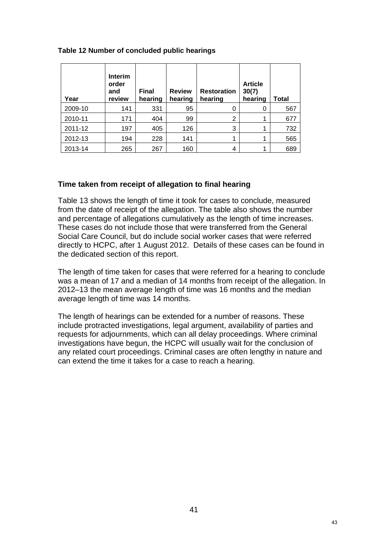|  | Table 12 Number of concluded public hearings |  |
|--|----------------------------------------------|--|
|  |                                              |  |

| Year    | Interim<br>order<br>and<br>review | <b>Final</b><br>hearing | <b>Review</b><br>hearing | <b>Restoration</b><br>hearing | <b>Article</b><br>30(7)<br>hearing | Total |
|---------|-----------------------------------|-------------------------|--------------------------|-------------------------------|------------------------------------|-------|
| 2009-10 | 141                               | 331                     | 95                       | 0                             | 0                                  | 567   |
| 2010-11 | 171                               | 404                     | 99                       | 2                             | 1                                  | 677   |
| 2011-12 | 197                               | 405                     | 126                      | 3                             | 1                                  | 732   |
| 2012-13 | 194                               | 228                     | 141                      | 1                             | 1                                  | 565   |
| 2013-14 | 265                               | 267                     | 160                      | 4                             |                                    | 689   |

## **Time taken from receipt of allegation to final hearing**

Table 13 shows the length of time it took for cases to conclude, measured from the date of receipt of the allegation. The table also shows the number and percentage of allegations cumulatively as the length of time increases. These cases do not include those that were transferred from the General Social Care Council, but do include social worker cases that were referred directly to HCPC, after 1 August 2012. Details of these cases can be found in the dedicated section of this report.

The length of time taken for cases that were referred for a hearing to conclude was a mean of 17 and a median of 14 months from receipt of the allegation. In 2012–13 the mean average length of time was 16 months and the median average length of time was 14 months.

The length of hearings can be extended for a number of reasons. These include protracted investigations, legal argument, availability of parties and requests for adjournments, which can all delay proceedings. Where criminal investigations have begun, the HCPC will usually wait for the conclusion of any related court proceedings. Criminal cases are often lengthy in nature and can extend the time it takes for a case to reach a hearing.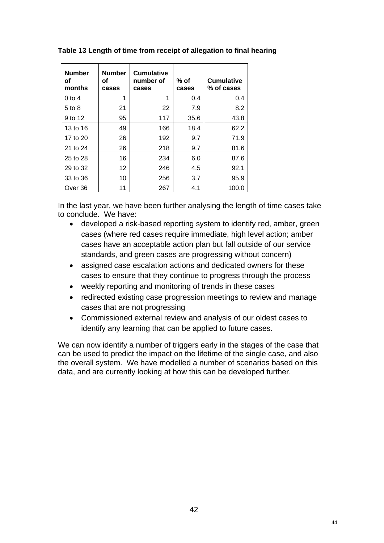| <b>Number</b><br>οf<br>months | <b>Number</b><br>οf<br>cases | <b>Cumulative</b><br>number of<br>cases | % of<br>cases | <b>Cumulative</b><br>% of cases |
|-------------------------------|------------------------------|-----------------------------------------|---------------|---------------------------------|
| $0$ to 4                      | 1                            |                                         | 0.4           | 0.4                             |
| 5 to 8                        | 21                           | 22                                      | 7.9           | 8.2                             |
| 9 to 12                       | 95                           | 117                                     | 35.6          | 43.8                            |
| 13 to 16                      | 49                           | 166                                     | 18.4          | 62.2                            |
| 17 to 20                      | 26                           | 192                                     | 9.7           | 71.9                            |
| 21 to 24                      | 26                           | 218                                     | 9.7           | 81.6                            |
| 25 to 28                      | 16                           | 234                                     | 6.0           | 87.6                            |
| 29 to 32                      | 12                           | 246                                     | 4.5           | 92.1                            |
| 33 to 36                      | 10                           | 256                                     | 3.7           | 95.9                            |
| Over 36                       | 11                           | 267                                     | 4.1           | 100.0                           |

**Table 13 Length of time from receipt of allegation to final hearing** 

In the last year, we have been further analysing the length of time cases take to conclude. We have:

- developed a risk-based reporting system to identify red, amber, green cases (where red cases require immediate, high level action; amber cases have an acceptable action plan but fall outside of our service standards, and green cases are progressing without concern)
- assigned case escalation actions and dedicated owners for these cases to ensure that they continue to progress through the process
- weekly reporting and monitoring of trends in these cases
- redirected existing case progression meetings to review and manage cases that are not progressing
- Commissioned external review and analysis of our oldest cases to identify any learning that can be applied to future cases.

We can now identify a number of triggers early in the stages of the case that can be used to predict the impact on the lifetime of the single case, and also the overall system. We have modelled a number of scenarios based on this data, and are currently looking at how this can be developed further.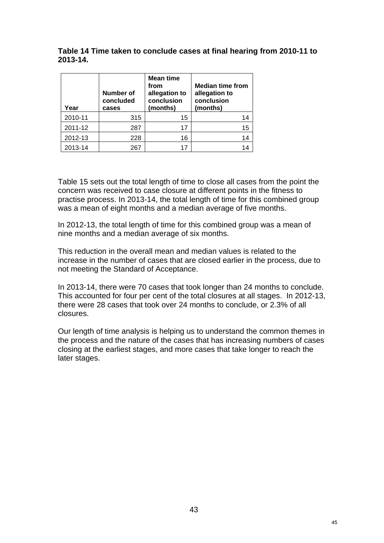**Table 14 Time taken to conclude cases at final hearing from 2010-11 to 2013-14.** 

| Year    | <b>Number of</b><br>concluded<br>cases | <b>Mean time</b><br>from<br>allegation to<br>conclusion<br>(months) | <b>Median time from</b><br>allegation to<br>conclusion<br>(months) |
|---------|----------------------------------------|---------------------------------------------------------------------|--------------------------------------------------------------------|
| 2010-11 | 315                                    | 15                                                                  |                                                                    |
| 2011-12 | 287                                    | 17                                                                  | 15                                                                 |
| 2012-13 | 228                                    | 16                                                                  | 14                                                                 |
| 2013-14 | 267                                    | 17                                                                  |                                                                    |

Table 15 sets out the total length of time to close all cases from the point the concern was received to case closure at different points in the fitness to practise process. In 2013-14, the total length of time for this combined group was a mean of eight months and a median average of five months.

In 2012-13, the total length of time for this combined group was a mean of nine months and a median average of six months.

This reduction in the overall mean and median values is related to the increase in the number of cases that are closed earlier in the process, due to not meeting the Standard of Acceptance.

In 2013-14, there were 70 cases that took longer than 24 months to conclude. This accounted for four per cent of the total closures at all stages. In 2012-13, there were 28 cases that took over 24 months to conclude, or 2.3% of all closures.

Our length of time analysis is helping us to understand the common themes in the process and the nature of the cases that has increasing numbers of cases closing at the earliest stages, and more cases that take longer to reach the later stages.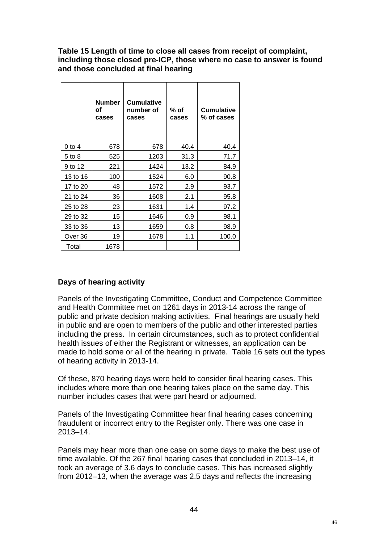#### **Table 15 Length of time to close all cases from receipt of complaint, including those closed pre-ICP, those where no case to answer is found and those concluded at final hearing**

|          | <b>Number</b><br>οf<br>cases | <b>Cumulative</b><br>number of<br>cases | % of<br>cases | <b>Cumulative</b><br>% of cases |
|----------|------------------------------|-----------------------------------------|---------------|---------------------------------|
| 0 to 4   | 678                          | 678                                     | 40.4          | 40.4                            |
| 5 to 8   | 525                          | 1203                                    | 31.3          | 71.7                            |
| 9 to 12  | 221                          | 1424                                    | 13.2          | 84.9                            |
| 13 to 16 | 100                          | 1524                                    | 6.0           | 90.8                            |
| 17 to 20 | 48                           | 1572                                    | 2.9           | 93.7                            |
| 21 to 24 | 36                           | 1608                                    | 2.1           | 95.8                            |
| 25 to 28 | 23                           | 1631                                    | 1.4           | 97.2                            |
| 29 to 32 | 15                           | 1646                                    | 0.9           | 98.1                            |
| 33 to 36 | 13                           | 1659                                    | 0.8           | 98.9                            |
| Over 36  | 19                           | 1678                                    | 1.1           | 100.0                           |
| Total    | 1678                         |                                         |               |                                 |

## **Days of hearing activity**

Panels of the Investigating Committee, Conduct and Competence Committee and Health Committee met on 1261 days in 2013-14 across the range of public and private decision making activities. Final hearings are usually held in public and are open to members of the public and other interested parties including the press. In certain circumstances, such as to protect confidential health issues of either the Registrant or witnesses, an application can be made to hold some or all of the hearing in private. Table 16 sets out the types of hearing activity in 2013-14.

Of these, 870 hearing days were held to consider final hearing cases. This includes where more than one hearing takes place on the same day. This number includes cases that were part heard or adjourned.

Panels of the Investigating Committee hear final hearing cases concerning fraudulent or incorrect entry to the Register only. There was one case in 2013–14.

Panels may hear more than one case on some days to make the best use of time available. Of the 267 final hearing cases that concluded in 2013–14, it took an average of 3.6 days to conclude cases. This has increased slightly from 2012–13, when the average was 2.5 days and reflects the increasing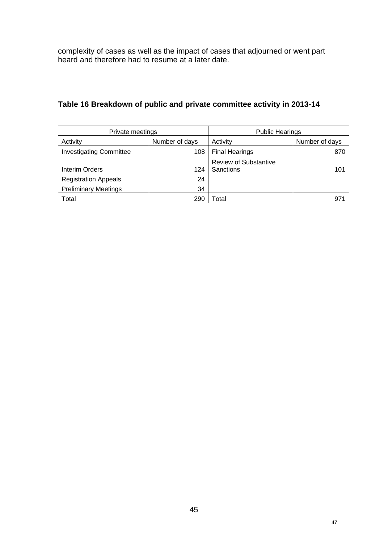complexity of cases as well as the impact of cases that adjourned or went part heard and therefore had to resume at a later date.

| Private meetings               |                | <b>Public Hearings</b>                    |                |  |  |
|--------------------------------|----------------|-------------------------------------------|----------------|--|--|
| Activity                       | Number of days | Activity                                  | Number of days |  |  |
| <b>Investigating Committee</b> | 108            | <b>Final Hearings</b>                     | 870            |  |  |
| Interim Orders                 | 124            | <b>Review of Substantive</b><br>Sanctions | 101            |  |  |
| <b>Registration Appeals</b>    | 24             |                                           |                |  |  |
| <b>Preliminary Meetings</b>    | 34             |                                           |                |  |  |
| Total                          | 290            | <sup>-</sup> otal                         | 97.            |  |  |

## **Table 16 Breakdown of public and private committee activity in 2013-14**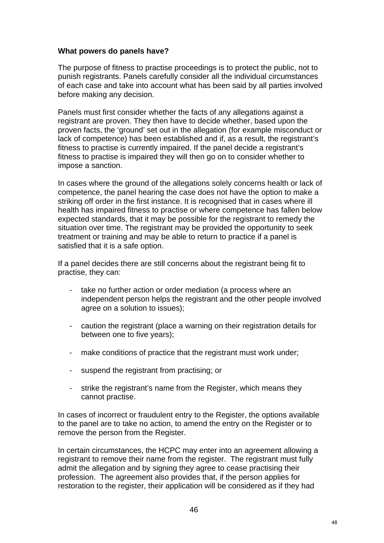#### **What powers do panels have?**

The purpose of fitness to practise proceedings is to protect the public, not to punish registrants. Panels carefully consider all the individual circumstances of each case and take into account what has been said by all parties involved before making any decision.

Panels must first consider whether the facts of any allegations against a registrant are proven. They then have to decide whether, based upon the proven facts, the 'ground' set out in the allegation (for example misconduct or lack of competence) has been established and if, as a result, the registrant's fitness to practise is currently impaired. If the panel decide a registrant's fitness to practise is impaired they will then go on to consider whether to impose a sanction.

In cases where the ground of the allegations solely concerns health or lack of competence, the panel hearing the case does not have the option to make a striking off order in the first instance. It is recognised that in cases where ill health has impaired fitness to practise or where competence has fallen below expected standards, that it may be possible for the registrant to remedy the situation over time. The registrant may be provided the opportunity to seek treatment or training and may be able to return to practice if a panel is satisfied that it is a safe option.

If a panel decides there are still concerns about the registrant being fit to practise, they can:

- take no further action or order mediation (a process where an independent person helps the registrant and the other people involved agree on a solution to issues);
- caution the registrant (place a warning on their registration details for between one to five years);
- make conditions of practice that the registrant must work under;
- suspend the registrant from practising; or
- strike the registrant's name from the Register, which means they cannot practise.

In cases of incorrect or fraudulent entry to the Register, the options available to the panel are to take no action, to amend the entry on the Register or to remove the person from the Register.

In certain circumstances, the HCPC may enter into an agreement allowing a registrant to remove their name from the register. The registrant must fully admit the allegation and by signing they agree to cease practising their profession. The agreement also provides that, if the person applies for restoration to the register, their application will be considered as if they had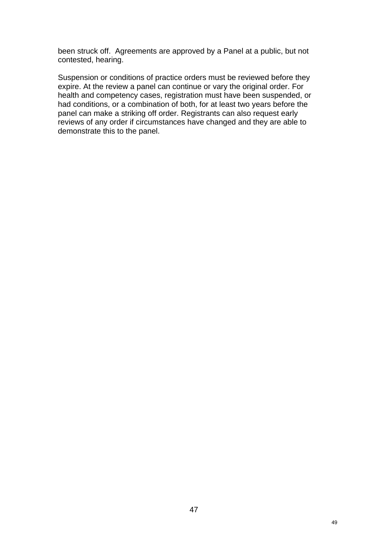been struck off. Agreements are approved by a Panel at a public, but not contested, hearing.

Suspension or conditions of practice orders must be reviewed before they expire. At the review a panel can continue or vary the original order. For health and competency cases, registration must have been suspended, or had conditions, or a combination of both, for at least two years before the panel can make a striking off order. Registrants can also request early reviews of any order if circumstances have changed and they are able to demonstrate this to the panel.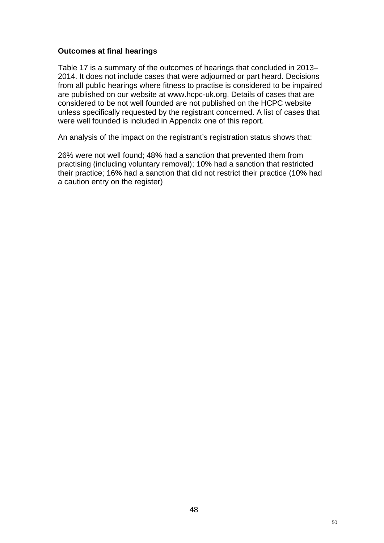#### **Outcomes at final hearings**

Table 17 is a summary of the outcomes of hearings that concluded in 2013– 2014. It does not include cases that were adjourned or part heard. Decisions from all public hearings where fitness to practise is considered to be impaired are published on our website at www.hcpc-uk.org. Details of cases that are considered to be not well founded are not published on the HCPC website unless specifically requested by the registrant concerned. A list of cases that were well founded is included in Appendix one of this report.

An analysis of the impact on the registrant's registration status shows that:

26% were not well found; 48% had a sanction that prevented them from practising (including voluntary removal); 10% had a sanction that restricted their practice; 16% had a sanction that did not restrict their practice (10% had a caution entry on the register)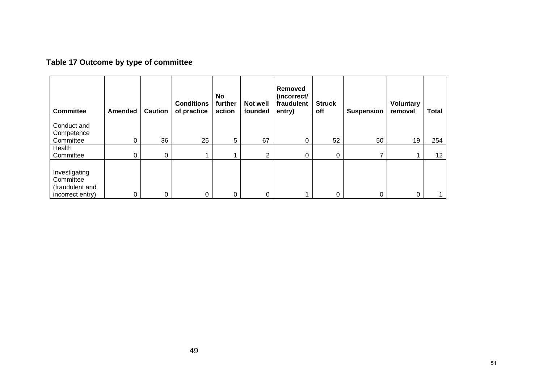# **Table 17 Outcome by type of committee**

| <b>Committee</b>                                                  | <b>Amended</b> | <b>Caution</b> | <b>Conditions</b><br>of practice | No<br>further<br>action | Not well<br>founded | Removed<br>(incorrect/<br>fraudulent<br>entry) | <b>Struck</b><br>off | <b>Suspension</b> | <b>Voluntary</b><br>removal | <b>Total</b>    |
|-------------------------------------------------------------------|----------------|----------------|----------------------------------|-------------------------|---------------------|------------------------------------------------|----------------------|-------------------|-----------------------------|-----------------|
| Conduct and                                                       |                |                |                                  |                         |                     |                                                |                      |                   |                             |                 |
| Competence                                                        |                |                |                                  |                         |                     |                                                |                      |                   |                             |                 |
| Committee                                                         | 0              | 36             | 25                               | 5                       | 67                  | 0                                              | 52                   | 50                | 19                          | 254             |
| Health                                                            |                |                |                                  |                         |                     |                                                |                      |                   |                             |                 |
| Committee                                                         | 0              | 0              |                                  |                         | 2                   | 0                                              | $\mathbf 0$          | ⇁                 |                             | 12 <sub>1</sub> |
| Investigating<br>Committee<br>(fraudulent and<br>incorrect entry) | 0              | 0              | 0                                | 0                       | 0                   |                                                | 0                    | 0                 | 0                           |                 |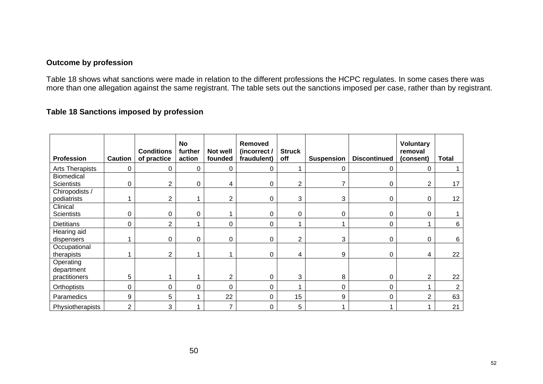#### **Outcome by profession**

Table 18 shows what sanctions were made in relation to the different professions the HCPC regulates. In some cases there was more than one allegation against the same registrant. The table sets out the sanctions imposed per case, rather than by registrant.

## **Table 18 Sanctions imposed by profession**

| <b>Profession</b>             | <b>Caution</b> | <b>Conditions</b><br>of practice | <b>No</b><br>further<br>action | Not well<br>founded | <b>Removed</b><br>(incorrect /<br>fraudulent) | <b>Struck</b><br>off | <b>Suspension</b> | <b>Discontinued</b> | <b>Voluntary</b><br>removal<br>(consent) | Total          |
|-------------------------------|----------------|----------------------------------|--------------------------------|---------------------|-----------------------------------------------|----------------------|-------------------|---------------------|------------------------------------------|----------------|
| Arts Therapists               | 0              | 0                                | 0                              | 0                   | 0                                             |                      | 0                 | 0                   | 0                                        |                |
| <b>Biomedical</b>             |                |                                  |                                |                     |                                               |                      |                   |                     |                                          |                |
| <b>Scientists</b>             | 0              | $\overline{2}$                   | 0                              | 4                   | 0                                             | $\overline{2}$       |                   | 0                   | 2                                        | 17             |
| Chiropodists /                |                |                                  |                                |                     |                                               |                      |                   |                     |                                          |                |
| podiatrists                   |                | $\overline{2}$                   |                                | $\overline{2}$      | 0                                             | 3                    | 3                 | 0                   | 0                                        | 12             |
| Clinical<br><b>Scientists</b> | 0              | $\mathbf{0}$                     | 0                              |                     | 0                                             | $\Omega$             | 0                 | $\Omega$            | 0                                        |                |
|                               |                |                                  |                                |                     |                                               |                      |                   |                     |                                          |                |
| <b>Dietitians</b>             | 0              | $\overline{2}$                   |                                | $\mathbf 0$         | 0                                             |                      |                   | $\mathbf 0$         |                                          | 6              |
| Hearing aid<br>dispensers     |                | $\Omega$                         | 0                              | 0                   | 0                                             | $\overline{2}$       | 3                 | 0                   | $\Omega$                                 | 6              |
| Occupational                  |                |                                  |                                |                     |                                               |                      |                   |                     |                                          |                |
| therapists                    |                | 2                                |                                |                     | 0                                             | 4                    | 9                 | $\Omega$            | 4                                        | 22             |
| Operating<br>department       |                |                                  |                                |                     |                                               |                      |                   |                     |                                          |                |
| practitioners                 | 5              |                                  |                                | $\overline{2}$      | 0                                             | 3                    | 8                 | 0                   | $\overline{2}$                           | 22             |
| Orthoptists                   | 0              | 0                                | 0                              | $\Omega$            | 0                                             |                      | 0                 | 0                   |                                          | $\overline{2}$ |
| Paramedics                    | 9              | 5                                |                                | 22                  | 0                                             | 15                   | 9                 | $\Omega$            | 2                                        | 63             |
| Physiotherapists              | $\overline{2}$ | 3                                |                                | $\overline{7}$      | 0                                             | 5                    |                   |                     |                                          | 21             |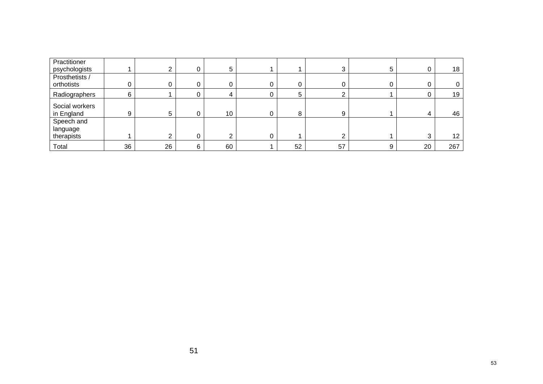| Practitioner<br>psychologists        |    |    |   | 5  |   |    |    | 5 | 0  | 18              |
|--------------------------------------|----|----|---|----|---|----|----|---|----|-----------------|
| Prosthetists /<br>orthotists         |    | 0  |   | υ  | 0 | 0  |    |   |    | 0               |
| Radiographers                        | 6  |    |   | ᅭ  |   |    |    |   |    | 19              |
| Social workers<br>in England         | 9  | 5  |   | 10 | 0 | 8  | 9  |   |    | 46              |
| Speech and<br>language<br>therapists |    | ⌒  |   | ◠  | 0 |    | ⌒  |   | 3  | 12 <sub>2</sub> |
| Total                                | 36 | 26 | 6 | 60 |   | 52 | 57 | 9 | 20 | 267             |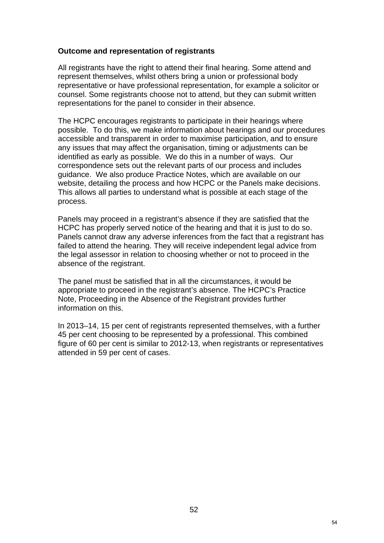#### **Outcome and representation of registrants**

All registrants have the right to attend their final hearing. Some attend and represent themselves, whilst others bring a union or professional body representative or have professional representation, for example a solicitor or counsel. Some registrants choose not to attend, but they can submit written representations for the panel to consider in their absence.

The HCPC encourages registrants to participate in their hearings where possible. To do this, we make information about hearings and our procedures accessible and transparent in order to maximise participation, and to ensure any issues that may affect the organisation, timing or adjustments can be identified as early as possible. We do this in a number of ways. Our correspondence sets out the relevant parts of our process and includes guidance. We also produce Practice Notes, which are available on our website, detailing the process and how HCPC or the Panels make decisions. This allows all parties to understand what is possible at each stage of the process.

Panels may proceed in a registrant's absence if they are satisfied that the HCPC has properly served notice of the hearing and that it is just to do so. Panels cannot draw any adverse inferences from the fact that a registrant has failed to attend the hearing. They will receive independent legal advice from the legal assessor in relation to choosing whether or not to proceed in the absence of the registrant.

The panel must be satisfied that in all the circumstances, it would be appropriate to proceed in the registrant's absence. The HCPC's Practice Note, Proceeding in the Absence of the Registrant provides further information on this.

In 2013–14, 15 per cent of registrants represented themselves, with a further 45 per cent choosing to be represented by a professional. This combined figure of 60 per cent is similar to 2012-13, when registrants or representatives attended in 59 per cent of cases.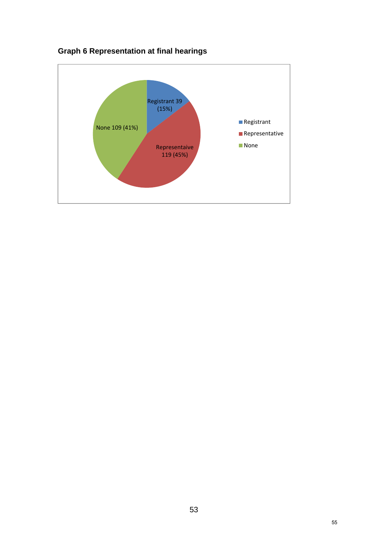

# **Graph 6 Representation at final hearings**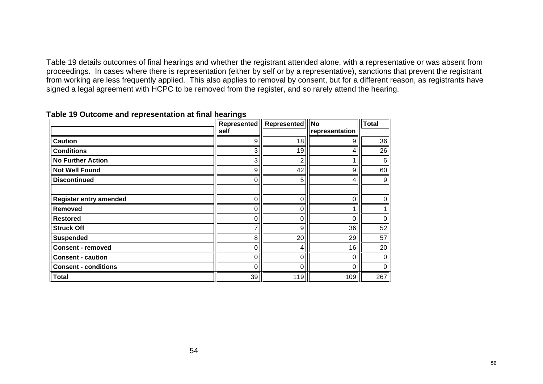Table 19 details outcomes of final hearings and whether the registrant attended alone, with a representative or was absent from proceedings. In cases where there is representation (either by self or by a representative), sanctions that prevent the registrant from working are less frequently applied. This also applies to removal by consent, but for a different reason, as registrants have signed a legal agreement with HCPC to be removed from the register, and so rarely attend the hearing.

|                             | ັ    | <b>Represented   Represented</b> | <b>No</b>      | <b>Total</b>   |
|-----------------------------|------|----------------------------------|----------------|----------------|
|                             | self |                                  | representation |                |
| <b>Caution</b>              | 9    | 18                               | 9              | 36             |
| <b>Conditions</b>           | 3    | 19                               | 4              | 26             |
| <b>No Further Action</b>    | 3    | 2                                |                | $\,6$          |
| <b>Not Well Found</b>       | 9    | 42                               | 9              | 60             |
| <b>Discontinued</b>         | 0    | 5                                | 4              | 9 <sub>l</sub> |
| Register entry amended      | ი    | 0                                | 0              | 0              |
| Removed                     |      | 0                                |                |                |
| <b>Restored</b>             | 0    | 0                                | 0              | $\mathbf 0$    |
| <b>Struck Off</b>           | 7    | 9                                | 36             | 52             |
| <b>Suspended</b>            | 8    | 20                               | 29             | 57             |
| <b>Consent - removed</b>    | 0    | 4                                | 16             | 20             |
| <b>Consent - caution</b>    | ი    | 0                                | 0              | $\mathbf 0$    |
| <b>Consent - conditions</b> | 0    | 0                                | 0              | 0              |
| <b>Total</b>                | 39   | 119                              | 109            | 267            |

#### **Table 19 Outcome and representation at final hearings**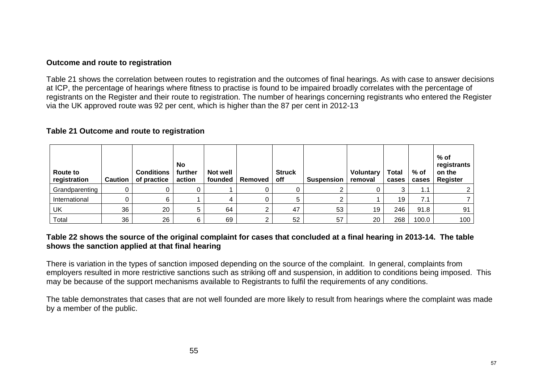#### **Outcome and route to registration**

Table 21 shows the correlation between routes to registration and the outcomes of final hearings. As with case to answer decisions at ICP, the percentage of hearings where fitness to practise is found to be impaired broadly correlates with the percentage of registrants on the Register and their route to registration. The number of hearings concerning registrants who entered the Register via the UK approved route was 92 per cent, which is higher than the 87 per cent in 2012-13

#### **Table 21 Outcome and route to registration**

| Route to<br>registration | <b>Caution</b> | <b>Conditions</b><br>of practice | No<br>further<br>action | <b>Not well</b><br>founded | Removed | <b>Struck</b><br>off | <b>Suspension</b> | Voluntary<br>removal | <b>Total</b><br>cases | % of<br>cases | % of<br>registrants<br>on the<br>Register |
|--------------------------|----------------|----------------------------------|-------------------------|----------------------------|---------|----------------------|-------------------|----------------------|-----------------------|---------------|-------------------------------------------|
| Grandparenting           |                |                                  |                         |                            |         |                      |                   |                      | 3                     | 1.1           |                                           |
| International            |                |                                  |                         |                            |         |                      |                   |                      | 19                    | 7.1           |                                           |
| UK                       | 36             | 20                               | 5                       | 64                         | ◠<br>∠  | 47                   | 53                | 19                   | 246                   | 91.8          | 91                                        |
| Total                    | 36             | 26                               | 6                       | 69                         | ◠       | 52                   | 57                | 20                   | 268                   | 100.0         | 100 <sub>1</sub>                          |

#### **Table 22 shows the source of the original complaint for cases that concluded at a final hearing in 2013-14. The table shows the sanction applied at that final hearing**

There is variation in the types of sanction imposed depending on the source of the complaint. In general, complaints from employers resulted in more restrictive sanctions such as striking off and suspension, in addition to conditions being imposed. This may be because of the support mechanisms available to Registrants to fulfil the requirements of any conditions.

The table demonstrates that cases that are not well founded are more likely to result from hearings where the complaint was made by a member of the public.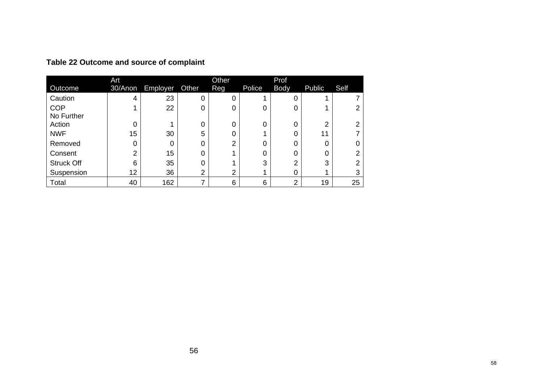|                   | Art     |          |          | Other          |        | Prof        |                    |      |
|-------------------|---------|----------|----------|----------------|--------|-------------|--------------------|------|
| Outcome           | 30/Anon | Employer | Other    | Reg            | Police | <b>Body</b> | Public             | Self |
| Caution           | 4       | 23       | 0        | 0              |        |             |                    |      |
| <b>COP</b>        |         | 22       | 0        | 0              | 0      |             |                    |      |
| No Further        |         |          |          |                |        |             |                    |      |
| Action            | 0       |          | $\Omega$ | 0              | 0      | 0           | $\mathcal{D}$<br>ے | 2    |
| <b>NWF</b>        | 15      | 30       | 5        | 0              |        |             | 11                 |      |
| Removed           |         |          | 0        | 2              | 0      |             | 0                  |      |
| Consent           | ⌒       | 15       | 0        |                | 0      |             | 0                  | ົ    |
| <b>Struck Off</b> | 6       | 35       | 0        |                | 3      | 2           | 3                  | ◠    |
| Suspension        | 12      | 36       | C<br>∠   | $\overline{2}$ |        |             |                    | 3    |
| Total             | 40      | 162      |          | 6              | 6      | ⌒           | 19                 | 25   |

**Table 22 Outcome and source of complaint**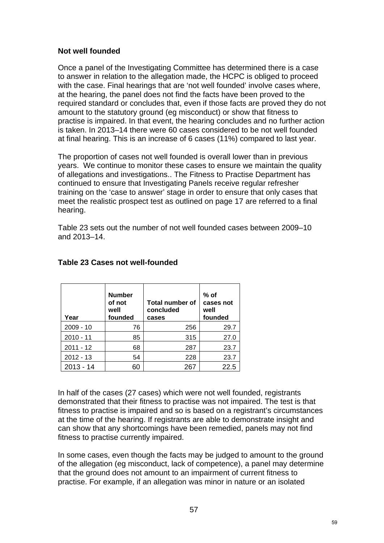#### **Not well founded**

Once a panel of the Investigating Committee has determined there is a case to answer in relation to the allegation made, the HCPC is obliged to proceed with the case. Final hearings that are 'not well founded' involve cases where, at the hearing, the panel does not find the facts have been proved to the required standard or concludes that, even if those facts are proved they do not amount to the statutory ground (eg misconduct) or show that fitness to practise is impaired. In that event, the hearing concludes and no further action is taken. In 2013–14 there were 60 cases considered to be not well founded at final hearing. This is an increase of 6 cases (11%) compared to last year.

The proportion of cases not well founded is overall lower than in previous years. We continue to monitor these cases to ensure we maintain the quality of allegations and investigations.. The Fitness to Practise Department has continued to ensure that Investigating Panels receive regular refresher training on the 'case to answer' stage in order to ensure that only cases that meet the realistic prospect test as outlined on page 17 are referred to a final hearing.

Table 23 sets out the number of not well founded cases between 2009–10 and 2013–14.

| Year        | <b>Number</b><br>of not<br>well<br>founded | Total number of<br>concluded<br>cases | $%$ of<br>cases not<br>well<br>founded |
|-------------|--------------------------------------------|---------------------------------------|----------------------------------------|
| $2009 - 10$ | 76                                         | 256                                   | 29.7                                   |
| $2010 - 11$ | 85                                         | 315                                   | 27.0                                   |
| $2011 - 12$ | 68                                         | 287                                   | 23.7                                   |
| $2012 - 13$ | 54                                         | 228                                   | 23.7                                   |
| $2013 - 14$ | 60                                         | 267                                   | 22.5                                   |

## **Table 23 Cases not well-founded**

In half of the cases (27 cases) which were not well founded, registrants demonstrated that their fitness to practise was not impaired. The test is that fitness to practise is impaired and so is based on a registrant's circumstances at the time of the hearing. If registrants are able to demonstrate insight and can show that any shortcomings have been remedied, panels may not find fitness to practise currently impaired.

In some cases, even though the facts may be judged to amount to the ground of the allegation (eg misconduct, lack of competence), a panel may determine that the ground does not amount to an impairment of current fitness to practise. For example, if an allegation was minor in nature or an isolated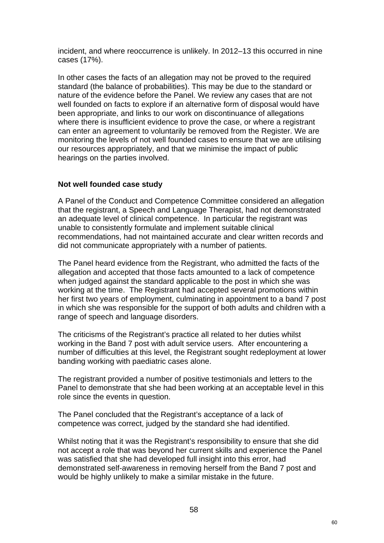incident, and where reoccurrence is unlikely. In 2012–13 this occurred in nine cases (17%).

In other cases the facts of an allegation may not be proved to the required standard (the balance of probabilities). This may be due to the standard or nature of the evidence before the Panel. We review any cases that are not well founded on facts to explore if an alternative form of disposal would have been appropriate, and links to our work on discontinuance of allegations where there is insufficient evidence to prove the case, or where a registrant can enter an agreement to voluntarily be removed from the Register. We are monitoring the levels of not well founded cases to ensure that we are utilising our resources appropriately, and that we minimise the impact of public hearings on the parties involved.

## **Not well founded case study**

A Panel of the Conduct and Competence Committee considered an allegation that the registrant, a Speech and Language Therapist, had not demonstrated an adequate level of clinical competence. In particular the registrant was unable to consistently formulate and implement suitable clinical recommendations, had not maintained accurate and clear written records and did not communicate appropriately with a number of patients.

The Panel heard evidence from the Registrant, who admitted the facts of the allegation and accepted that those facts amounted to a lack of competence when judged against the standard applicable to the post in which she was working at the time. The Registrant had accepted several promotions within her first two years of employment, culminating in appointment to a band 7 post in which she was responsible for the support of both adults and children with a range of speech and language disorders.

The criticisms of the Registrant's practice all related to her duties whilst working in the Band 7 post with adult service users. After encountering a number of difficulties at this level, the Registrant sought redeployment at lower banding working with paediatric cases alone.

The registrant provided a number of positive testimonials and letters to the Panel to demonstrate that she had been working at an acceptable level in this role since the events in question.

The Panel concluded that the Registrant's acceptance of a lack of competence was correct, judged by the standard she had identified.

Whilst noting that it was the Registrant's responsibility to ensure that she did not accept a role that was beyond her current skills and experience the Panel was satisfied that she had developed full insight into this error, had demonstrated self-awareness in removing herself from the Band 7 post and would be highly unlikely to make a similar mistake in the future.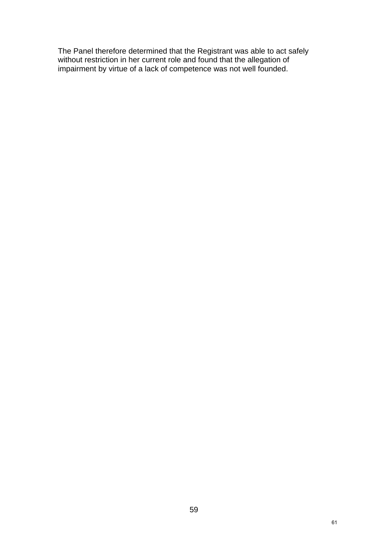The Panel therefore determined that the Registrant was able to act safely without restriction in her current role and found that the allegation of impairment by virtue of a lack of competence was not well founded.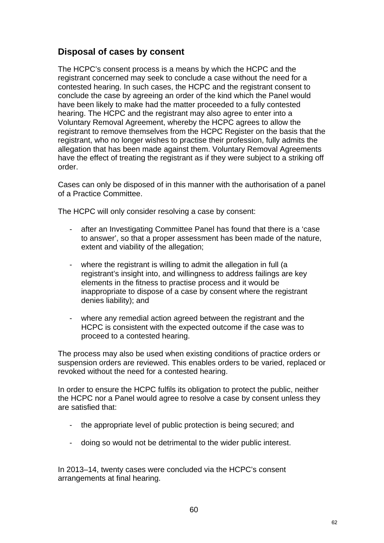# **Disposal of cases by consent**

The HCPC's consent process is a means by which the HCPC and the registrant concerned may seek to conclude a case without the need for a contested hearing. In such cases, the HCPC and the registrant consent to conclude the case by agreeing an order of the kind which the Panel would have been likely to make had the matter proceeded to a fully contested hearing. The HCPC and the registrant may also agree to enter into a Voluntary Removal Agreement, whereby the HCPC agrees to allow the registrant to remove themselves from the HCPC Register on the basis that the registrant, who no longer wishes to practise their profession, fully admits the allegation that has been made against them. Voluntary Removal Agreements have the effect of treating the registrant as if they were subject to a striking off order.

Cases can only be disposed of in this manner with the authorisation of a panel of a Practice Committee.

The HCPC will only consider resolving a case by consent:

- after an Investigating Committee Panel has found that there is a 'case to answer', so that a proper assessment has been made of the nature, extent and viability of the allegation;
- where the registrant is willing to admit the allegation in full (a registrant's insight into, and willingness to address failings are key elements in the fitness to practise process and it would be inappropriate to dispose of a case by consent where the registrant denies liability); and
- where any remedial action agreed between the registrant and the HCPC is consistent with the expected outcome if the case was to proceed to a contested hearing.

The process may also be used when existing conditions of practice orders or suspension orders are reviewed. This enables orders to be varied, replaced or revoked without the need for a contested hearing.

In order to ensure the HCPC fulfils its obligation to protect the public, neither the HCPC nor a Panel would agree to resolve a case by consent unless they are satisfied that:

- the appropriate level of public protection is being secured; and
- doing so would not be detrimental to the wider public interest.

In 2013–14, twenty cases were concluded via the HCPC's consent arrangements at final hearing.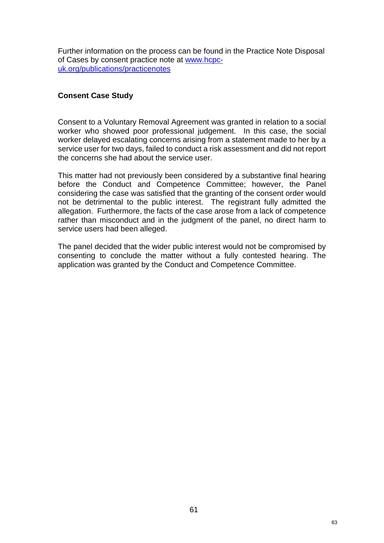Further information on the process can be found in the Practice Note Disposal of Cases by consent practice note at www.hcpcuk.org/publications/practicenotes

## **Consent Case Study**

Consent to a Voluntary Removal Agreement was granted in relation to a social worker who showed poor professional judgement. In this case, the social worker delayed escalating concerns arising from a statement made to her by a service user for two days, failed to conduct a risk assessment and did not report the concerns she had about the service user.

This matter had not previously been considered by a substantive final hearing before the Conduct and Competence Committee; however, the Panel considering the case was satisfied that the granting of the consent order would not be detrimental to the public interest. The registrant fully admitted the allegation. Furthermore, the facts of the case arose from a lack of competence rather than misconduct and in the judgment of the panel, no direct harm to service users had been alleged.

The panel decided that the wider public interest would not be compromised by consenting to conclude the matter without a fully contested hearing. The application was granted by the Conduct and Competence Committee.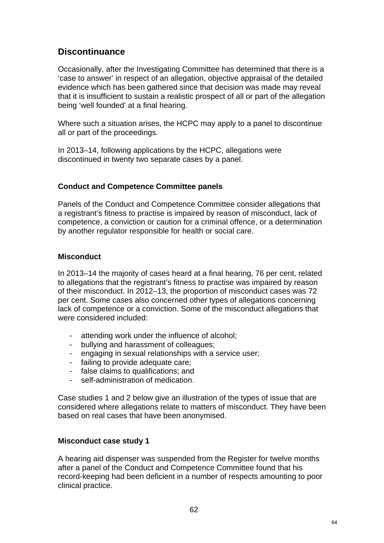# **Discontinuance**

Occasionally, after the Investigating Committee has determined that there is a 'case to answer' in respect of an allegation, objective appraisal of the detailed evidence which has been gathered since that decision was made may reveal that it is insufficient to sustain a realistic prospect of all or part of the allegation being 'well founded' at a final hearing.

Where such a situation arises, the HCPC may apply to a panel to discontinue all or part of the proceedings.

In 2013–14, following applications by the HCPC, allegations were discontinued in twenty two separate cases by a panel.

## **Conduct and Competence Committee panels**

Panels of the Conduct and Competence Committee consider allegations that a registrant's fitness to practise is impaired by reason of misconduct, lack of competence, a conviction or caution for a criminal offence, or a determination by another regulator responsible for health or social care.

## **Misconduct**

In 2013–14 the majority of cases heard at a final hearing, 76 per cent, related to allegations that the registrant's fitness to practise was impaired by reason of their misconduct. In 2012–13, the proportion of misconduct cases was 72 per cent. Some cases also concerned other types of allegations concerning lack of competence or a conviction. Some of the misconduct allegations that were considered included:

- attending work under the influence of alcohol;
- bullying and harassment of colleagues;
- engaging in sexual relationships with a service user;
- failing to provide adequate care;
- false claims to qualifications; and
- self-administration of medication.

Case studies 1 and 2 below give an illustration of the types of issue that are considered where allegations relate to matters of misconduct. They have been based on real cases that have been anonymised.

#### **Misconduct case study 1**

A hearing aid dispenser was suspended from the Register for twelve months after a panel of the Conduct and Competence Committee found that his record-keeping had been deficient in a number of respects amounting to poor clinical practice.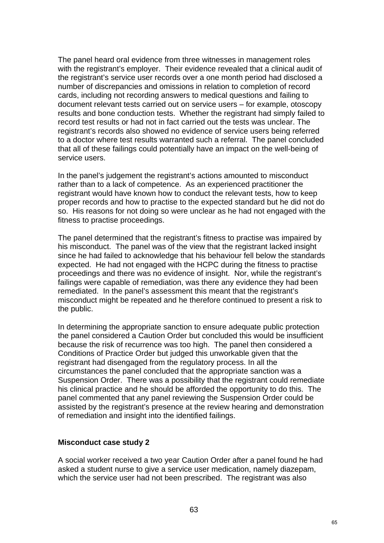The panel heard oral evidence from three witnesses in management roles with the registrant's employer. Their evidence revealed that a clinical audit of the registrant's service user records over a one month period had disclosed a number of discrepancies and omissions in relation to completion of record cards, including not recording answers to medical questions and failing to document relevant tests carried out on service users – for example, otoscopy results and bone conduction tests. Whether the registrant had simply failed to record test results or had not in fact carried out the tests was unclear. The registrant's records also showed no evidence of service users being referred to a doctor where test results warranted such a referral. The panel concluded that all of these failings could potentially have an impact on the well-being of service users.

In the panel's judgement the registrant's actions amounted to misconduct rather than to a lack of competence. As an experienced practitioner the registrant would have known how to conduct the relevant tests, how to keep proper records and how to practise to the expected standard but he did not do so. His reasons for not doing so were unclear as he had not engaged with the fitness to practise proceedings.

The panel determined that the registrant's fitness to practise was impaired by his misconduct. The panel was of the view that the registrant lacked insight since he had failed to acknowledge that his behaviour fell below the standards expected. He had not engaged with the HCPC during the fitness to practise proceedings and there was no evidence of insight. Nor, while the registrant's failings were capable of remediation, was there any evidence they had been remediated. In the panel's assessment this meant that the registrant's misconduct might be repeated and he therefore continued to present a risk to the public.

In determining the appropriate sanction to ensure adequate public protection the panel considered a Caution Order but concluded this would be insufficient because the risk of recurrence was too high. The panel then considered a Conditions of Practice Order but judged this unworkable given that the registrant had disengaged from the regulatory process. In all the circumstances the panel concluded that the appropriate sanction was a Suspension Order. There was a possibility that the registrant could remediate his clinical practice and he should be afforded the opportunity to do this. The panel commented that any panel reviewing the Suspension Order could be assisted by the registrant's presence at the review hearing and demonstration of remediation and insight into the identified failings.

#### **Misconduct case study 2**

A social worker received a two year Caution Order after a panel found he had asked a student nurse to give a service user medication, namely diazepam, which the service user had not been prescribed. The registrant was also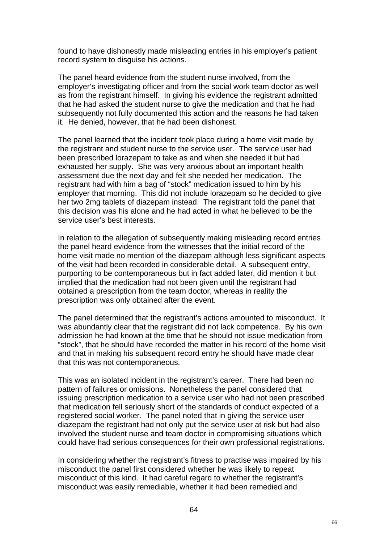found to have dishonestly made misleading entries in his employer's patient record system to disguise his actions.

The panel heard evidence from the student nurse involved, from the employer's investigating officer and from the social work team doctor as well as from the registrant himself. In giving his evidence the registrant admitted that he had asked the student nurse to give the medication and that he had subsequently not fully documented this action and the reasons he had taken it. He denied, however, that he had been dishonest.

The panel learned that the incident took place during a home visit made by the registrant and student nurse to the service user. The service user had been prescribed lorazepam to take as and when she needed it but had exhausted her supply. She was very anxious about an important health assessment due the next day and felt she needed her medication. The registrant had with him a bag of "stock" medication issued to him by his employer that morning. This did not include lorazepam so he decided to give her two 2mg tablets of diazepam instead. The registrant told the panel that this decision was his alone and he had acted in what he believed to be the service user's best interests.

In relation to the allegation of subsequently making misleading record entries the panel heard evidence from the witnesses that the initial record of the home visit made no mention of the diazepam although less significant aspects of the visit had been recorded in considerable detail. A subsequent entry, purporting to be contemporaneous but in fact added later, did mention it but implied that the medication had not been given until the registrant had obtained a prescription from the team doctor, whereas in reality the prescription was only obtained after the event.

The panel determined that the registrant's actions amounted to misconduct. It was abundantly clear that the registrant did not lack competence. By his own admission he had known at the time that he should not issue medication from "stock", that he should have recorded the matter in his record of the home visit and that in making his subsequent record entry he should have made clear that this was not contemporaneous.

This was an isolated incident in the registrant's career. There had been no pattern of failures or omissions. Nonetheless the panel considered that issuing prescription medication to a service user who had not been prescribed that medication fell seriously short of the standards of conduct expected of a registered social worker. The panel noted that in giving the service user diazepam the registrant had not only put the service user at risk but had also involved the student nurse and team doctor in compromising situations which could have had serious consequences for their own professional registrations.

In considering whether the registrant's fitness to practise was impaired by his misconduct the panel first considered whether he was likely to repeat misconduct of this kind. It had careful regard to whether the registrant's misconduct was easily remediable, whether it had been remedied and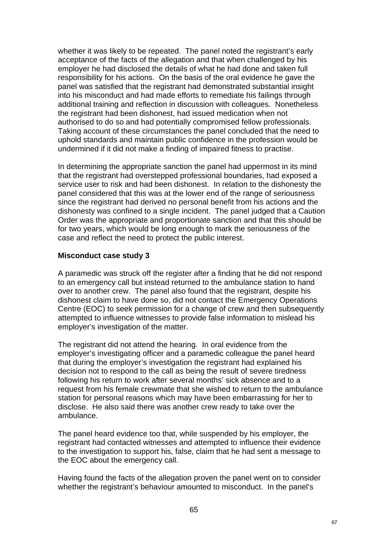whether it was likely to be repeated. The panel noted the registrant's early acceptance of the facts of the allegation and that when challenged by his employer he had disclosed the details of what he had done and taken full responsibility for his actions. On the basis of the oral evidence he gave the panel was satisfied that the registrant had demonstrated substantial insight into his misconduct and had made efforts to remediate his failings through additional training and reflection in discussion with colleagues. Nonetheless the registrant had been dishonest, had issued medication when not authorised to do so and had potentially compromised fellow professionals. Taking account of these circumstances the panel concluded that the need to uphold standards and maintain public confidence in the profession would be undermined if it did not make a finding of impaired fitness to practise.

In determining the appropriate sanction the panel had uppermost in its mind that the registrant had overstepped professional boundaries, had exposed a service user to risk and had been dishonest. In relation to the dishonesty the panel considered that this was at the lower end of the range of seriousness since the registrant had derived no personal benefit from his actions and the dishonesty was confined to a single incident. The panel judged that a Caution Order was the appropriate and proportionate sanction and that this should be for two years, which would be long enough to mark the seriousness of the case and reflect the need to protect the public interest.

#### **Misconduct case study 3**

A paramedic was struck off the register after a finding that he did not respond to an emergency call but instead returned to the ambulance station to hand over to another crew. The panel also found that the registrant, despite his dishonest claim to have done so, did not contact the Emergency Operations Centre (EOC) to seek permission for a change of crew and then subsequently attempted to influence witnesses to provide false information to mislead his employer's investigation of the matter.

The registrant did not attend the hearing. In oral evidence from the employer's investigating officer and a paramedic colleague the panel heard that during the employer's investigation the registrant had explained his decision not to respond to the call as being the result of severe tiredness following his return to work after several months' sick absence and to a request from his female crewmate that she wished to return to the ambulance station for personal reasons which may have been embarrassing for her to disclose. He also said there was another crew ready to take over the ambulance.

The panel heard evidence too that, while suspended by his employer, the registrant had contacted witnesses and attempted to influence their evidence to the investigation to support his, false, claim that he had sent a message to the EOC about the emergency call.

Having found the facts of the allegation proven the panel went on to consider whether the registrant's behaviour amounted to misconduct. In the panel's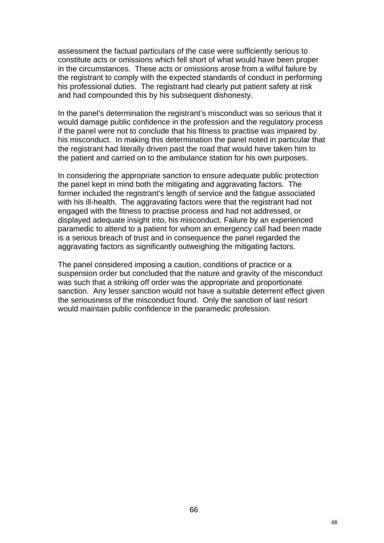assessment the factual particulars of the case were sufficiently serious to constitute acts or omissions which fell short of what would have been proper in the circumstances. These acts or omissions arose from a wilful failure by the registrant to comply with the expected standards of conduct in performing his professional duties. The registrant had clearly put patient safety at risk and had compounded this by his subsequent dishonesty.

In the panel's determination the registrant's misconduct was so serious that it would damage public confidence in the profession and the regulatory process if the panel were not to conclude that his fitness to practise was impaired by his misconduct. In making this determination the panel noted in particular that the registrant had literally driven past the road that would have taken him to the patient and carried on to the ambulance station for his own purposes.

In considering the appropriate sanction to ensure adequate public protection the panel kept in mind both the mitigating and aggravating factors. The former included the registrant's length of service and the fatigue associated with his ill-health. The aggravating factors were that the registrant had not engaged with the fitness to practise process and had not addressed, or displayed adequate insight into, his misconduct. Failure by an experienced paramedic to attend to a patient for whom an emergency call had been made is a serious breach of trust and in consequence the panel regarded the aggravating factors as significantly outweighing the mitigating factors.

The panel considered imposing a caution, conditions of practice or a suspension order but concluded that the nature and gravity of the misconduct was such that a striking off order was the appropriate and proportionate sanction. Any lesser sanction would not have a suitable deterrent effect given the seriousness of the misconduct found. Only the sanction of last resort would maintain public confidence in the paramedic profession.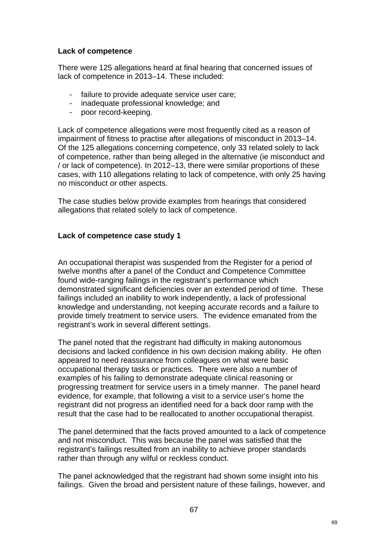## **Lack of competence**

There were 125 allegations heard at final hearing that concerned issues of lack of competence in 2013–14. These included:

- failure to provide adequate service user care;
- inadequate professional knowledge; and
- poor record-keeping.

Lack of competence allegations were most frequently cited as a reason of impairment of fitness to practise after allegations of misconduct in 2013–14. Of the 125 allegations concerning competence, only 33 related solely to lack of competence, rather than being alleged in the alternative (ie misconduct and / or lack of competence). In 2012–13, there were similar proportions of these cases, with 110 allegations relating to lack of competence, with only 25 having no misconduct or other aspects.

The case studies below provide examples from hearings that considered allegations that related solely to lack of competence.

## **Lack of competence case study 1**

An occupational therapist was suspended from the Register for a period of twelve months after a panel of the Conduct and Competence Committee found wide-ranging failings in the registrant's performance which demonstrated significant deficiencies over an extended period of time. These failings included an inability to work independently, a lack of professional knowledge and understanding, not keeping accurate records and a failure to provide timely treatment to service users. The evidence emanated from the registrant's work in several different settings.

The panel noted that the registrant had difficulty in making autonomous decisions and lacked confidence in his own decision making ability. He often appeared to need reassurance from colleagues on what were basic occupational therapy tasks or practices. There were also a number of examples of his failing to demonstrate adequate clinical reasoning or progressing treatment for service users in a timely manner. The panel heard evidence, for example, that following a visit to a service user's home the registrant did not progress an identified need for a back door ramp with the result that the case had to be reallocated to another occupational therapist.

The panel determined that the facts proved amounted to a lack of competence and not misconduct. This was because the panel was satisfied that the registrant's failings resulted from an inability to achieve proper standards rather than through any wilful or reckless conduct.

The panel acknowledged that the registrant had shown some insight into his failings. Given the broad and persistent nature of these failings, however, and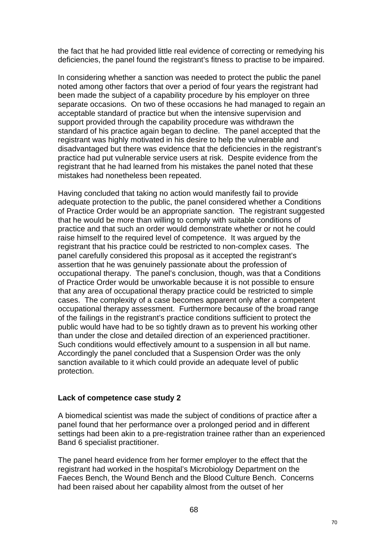the fact that he had provided little real evidence of correcting or remedying his deficiencies, the panel found the registrant's fitness to practise to be impaired.

In considering whether a sanction was needed to protect the public the panel noted among other factors that over a period of four years the registrant had been made the subject of a capability procedure by his employer on three separate occasions. On two of these occasions he had managed to regain an acceptable standard of practice but when the intensive supervision and support provided through the capability procedure was withdrawn the standard of his practice again began to decline. The panel accepted that the registrant was highly motivated in his desire to help the vulnerable and disadvantaged but there was evidence that the deficiencies in the registrant's practice had put vulnerable service users at risk. Despite evidence from the registrant that he had learned from his mistakes the panel noted that these mistakes had nonetheless been repeated.

Having concluded that taking no action would manifestly fail to provide adequate protection to the public, the panel considered whether a Conditions of Practice Order would be an appropriate sanction. The registrant suggested that he would be more than willing to comply with suitable conditions of practice and that such an order would demonstrate whether or not he could raise himself to the required level of competence. It was argued by the registrant that his practice could be restricted to non-complex cases. The panel carefully considered this proposal as it accepted the registrant's assertion that he was genuinely passionate about the profession of occupational therapy. The panel's conclusion, though, was that a Conditions of Practice Order would be unworkable because it is not possible to ensure that any area of occupational therapy practice could be restricted to simple cases. The complexity of a case becomes apparent only after a competent occupational therapy assessment. Furthermore because of the broad range of the failings in the registrant's practice conditions sufficient to protect the public would have had to be so tightly drawn as to prevent his working other than under the close and detailed direction of an experienced practitioner. Such conditions would effectively amount to a suspension in all but name. Accordingly the panel concluded that a Suspension Order was the only sanction available to it which could provide an adequate level of public protection.

#### **Lack of competence case study 2**

A biomedical scientist was made the subject of conditions of practice after a panel found that her performance over a prolonged period and in different settings had been akin to a pre-registration trainee rather than an experienced Band 6 specialist practitioner.

The panel heard evidence from her former employer to the effect that the registrant had worked in the hospital's Microbiology Department on the Faeces Bench, the Wound Bench and the Blood Culture Bench. Concerns had been raised about her capability almost from the outset of her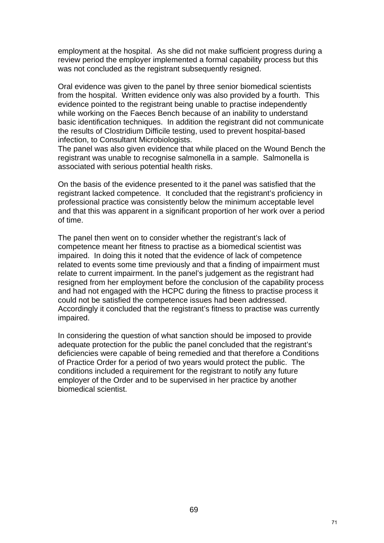employment at the hospital. As she did not make sufficient progress during a review period the employer implemented a formal capability process but this was not concluded as the registrant subsequently resigned.

Oral evidence was given to the panel by three senior biomedical scientists from the hospital. Written evidence only was also provided by a fourth. This evidence pointed to the registrant being unable to practise independently while working on the Faeces Bench because of an inability to understand basic identification techniques. In addition the registrant did not communicate the results of Clostridium Difficile testing, used to prevent hospital-based infection, to Consultant Microbiologists.

The panel was also given evidence that while placed on the Wound Bench the registrant was unable to recognise salmonella in a sample. Salmonella is associated with serious potential health risks.

On the basis of the evidence presented to it the panel was satisfied that the registrant lacked competence. It concluded that the registrant's proficiency in professional practice was consistently below the minimum acceptable level and that this was apparent in a significant proportion of her work over a period of time.

The panel then went on to consider whether the registrant's lack of competence meant her fitness to practise as a biomedical scientist was impaired. In doing this it noted that the evidence of lack of competence related to events some time previously and that a finding of impairment must relate to current impairment. In the panel's judgement as the registrant had resigned from her employment before the conclusion of the capability process and had not engaged with the HCPC during the fitness to practise process it could not be satisfied the competence issues had been addressed. Accordingly it concluded that the registrant's fitness to practise was currently impaired.

In considering the question of what sanction should be imposed to provide adequate protection for the public the panel concluded that the registrant's deficiencies were capable of being remedied and that therefore a Conditions of Practice Order for a period of two years would protect the public. The conditions included a requirement for the registrant to notify any future employer of the Order and to be supervised in her practice by another biomedical scientist.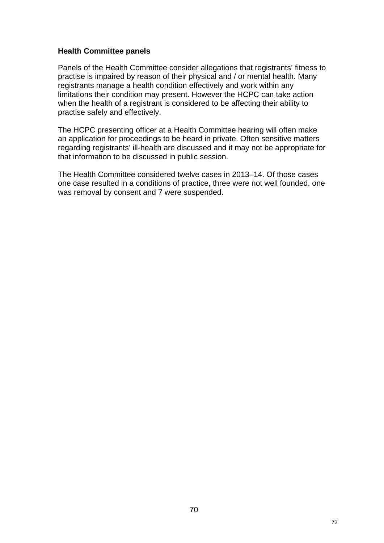#### **Health Committee panels**

Panels of the Health Committee consider allegations that registrants' fitness to practise is impaired by reason of their physical and / or mental health. Many registrants manage a health condition effectively and work within any limitations their condition may present. However the HCPC can take action when the health of a registrant is considered to be affecting their ability to practise safely and effectively.

The HCPC presenting officer at a Health Committee hearing will often make an application for proceedings to be heard in private. Often sensitive matters regarding registrants' ill-health are discussed and it may not be appropriate for that information to be discussed in public session.

The Health Committee considered twelve cases in 2013–14. Of those cases one case resulted in a conditions of practice, three were not well founded, one was removal by consent and 7 were suspended.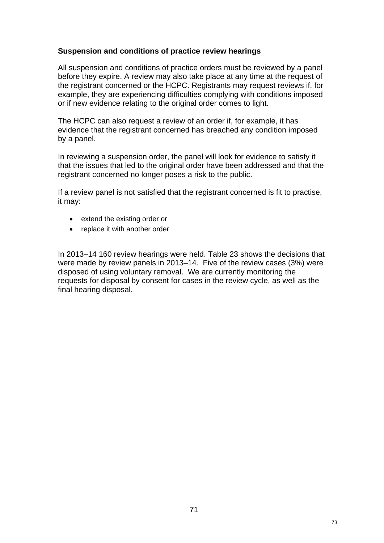#### **Suspension and conditions of practice review hearings**

All suspension and conditions of practice orders must be reviewed by a panel before they expire. A review may also take place at any time at the request of the registrant concerned or the HCPC. Registrants may request reviews if, for example, they are experiencing difficulties complying with conditions imposed or if new evidence relating to the original order comes to light.

The HCPC can also request a review of an order if, for example, it has evidence that the registrant concerned has breached any condition imposed by a panel.

In reviewing a suspension order, the panel will look for evidence to satisfy it that the issues that led to the original order have been addressed and that the registrant concerned no longer poses a risk to the public.

If a review panel is not satisfied that the registrant concerned is fit to practise, it may:

- extend the existing order or
- replace it with another order

In 2013–14 160 review hearings were held. Table 23 shows the decisions that were made by review panels in 2013–14. Five of the review cases (3%) were disposed of using voluntary removal. We are currently monitoring the requests for disposal by consent for cases in the review cycle, as well as the final hearing disposal.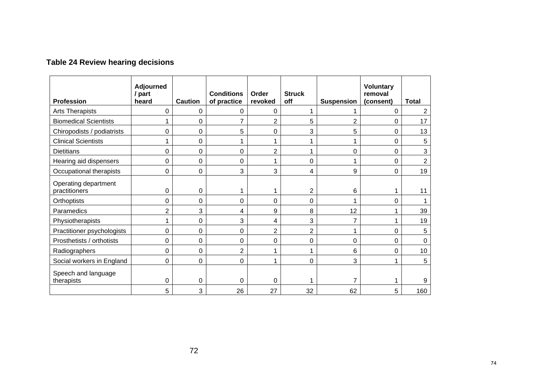| <b>Profession</b>                     | <b>Adjourned</b><br>/ part<br>heard | <b>Caution</b> | <b>Conditions</b><br>of practice | Order<br>revoked | <b>Struck</b><br>off | <b>Suspension</b> | <b>Voluntary</b><br>removal<br>(consent) | <b>Total</b>    |
|---------------------------------------|-------------------------------------|----------------|----------------------------------|------------------|----------------------|-------------------|------------------------------------------|-----------------|
| Arts Therapists                       | 0                                   | 0              | 0                                | 0                |                      |                   | $\mathbf 0$                              | $\overline{2}$  |
| <b>Biomedical Scientists</b>          |                                     | 0              |                                  | $\overline{2}$   | 5                    | $\overline{2}$    | 0                                        | 17              |
| Chiropodists / podiatrists            | 0                                   | $\mathbf 0$    | 5                                | 0                | 3                    | 5                 | $\mathbf 0$                              | 13              |
| <b>Clinical Scientists</b>            |                                     | $\mathbf 0$    | 1                                | 1                |                      | 1                 | $\mathbf 0$                              | 5               |
| <b>Dietitians</b>                     | 0                                   | 0              | 0                                | $\overline{2}$   |                      | 0                 | $\mathbf 0$                              | 3               |
| Hearing aid dispensers                | 0                                   | 0              | $\Omega$                         | 1                | 0                    |                   | 0                                        | $\overline{2}$  |
| Occupational therapists               | 0                                   | 0              | 3                                | 3                | 4                    | 9                 | $\mathbf 0$                              | 19              |
| Operating department<br>practitioners | 0                                   | 0              |                                  | 1                | $\overline{2}$       | 6                 |                                          | 11              |
| Orthoptists                           | 0                                   | $\Omega$       | $\overline{0}$                   | $\mathbf 0$      | $\Omega$             |                   | $\mathbf 0$                              |                 |
| Paramedics                            | $\overline{2}$                      | 3              | 4                                | 9                | 8                    | 12                | 1                                        | 39              |
| Physiotherapists                      |                                     | 0              | 3                                | 4                | 3                    | $\overline{7}$    |                                          | 19              |
| Practitioner psychologists            | 0                                   | 0              | 0                                | $\overline{2}$   | $\overline{2}$       |                   | $\mathbf 0$                              | 5               |
| Prosthetists / orthotists             | 0                                   | $\Omega$       | $\Omega$                         | 0                | $\Omega$             | 0                 | $\mathbf 0$                              | 0               |
| Radiographers                         | 0                                   | 0              | $\overline{2}$                   | 1                |                      | 6                 | $\mathbf 0$                              | 10 <sub>1</sub> |
| Social workers in England             | 0                                   | 0              | 0                                | 1                | 0                    | 3                 | 1                                        | 5               |
| Speech and language<br>therapists     | 0<br>5                              | 0<br>3         | 0<br>26                          | 0<br>27          | 32                   | 7<br>62           | 5                                        | 9<br>160        |

# **Table 24 Review hearing decisions**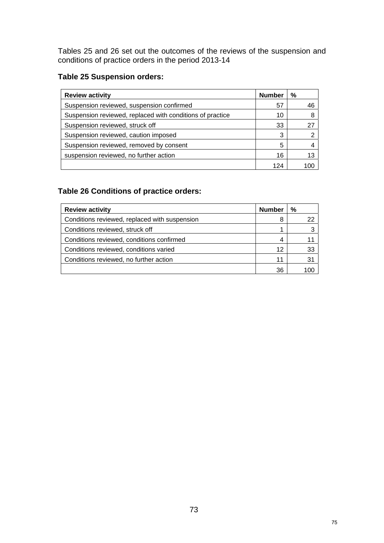Tables 25 and 26 set out the outcomes of the reviews of the suspension and conditions of practice orders in the period 2013-14

## **Table 25 Suspension orders:**

| <b>Review activity</b>                                    | <b>Number</b> | %  |
|-----------------------------------------------------------|---------------|----|
| Suspension reviewed, suspension confirmed                 | 57            | 46 |
| Suspension reviewed, replaced with conditions of practice | 10            | 8  |
| Suspension reviewed, struck off                           | 33            | 27 |
| Suspension reviewed, caution imposed                      | 3             |    |
| Suspension reviewed, removed by consent                   | 5             |    |
| suspension reviewed, no further action                    | 16            | 13 |
|                                                           |               |    |

## **Table 26 Conditions of practice orders:**

| <b>Review activity</b>                        | <b>Number</b> | %  |
|-----------------------------------------------|---------------|----|
| Conditions reviewed, replaced with suspension | 8             |    |
| Conditions reviewed, struck off               | 1             |    |
| Conditions reviewed, conditions confirmed     | 4             |    |
| Conditions reviewed, conditions varied        | 12            | 33 |
| Conditions reviewed, no further action        | 11            | 31 |
|                                               | 36            |    |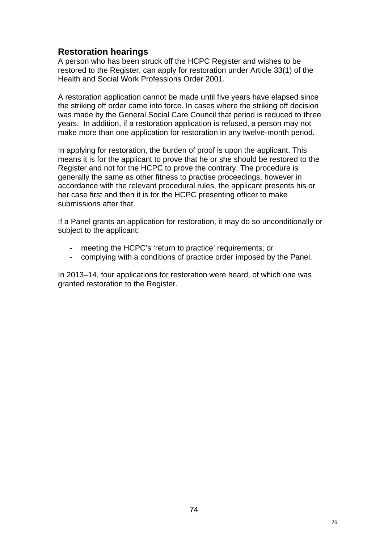## **Restoration hearings**

A person who has been struck off the HCPC Register and wishes to be restored to the Register, can apply for restoration under Article 33(1) of the Health and Social Work Professions Order 2001.

A restoration application cannot be made until five years have elapsed since the striking off order came into force. In cases where the striking off decision was made by the General Social Care Council that period is reduced to three years. In addition, if a restoration application is refused, a person may not make more than one application for restoration in any twelve-month period.

In applying for restoration, the burden of proof is upon the applicant. This means it is for the applicant to prove that he or she should be restored to the Register and not for the HCPC to prove the contrary. The procedure is generally the same as other fitness to practise proceedings, however in accordance with the relevant procedural rules, the applicant presents his or her case first and then it is for the HCPC presenting officer to make submissions after that.

If a Panel grants an application for restoration, it may do so unconditionally or subject to the applicant:

- meeting the HCPC's 'return to practice' requirements; or
- complying with a conditions of practice order imposed by the Panel.

In 2013–14, four applications for restoration were heard, of which one was granted restoration to the Register.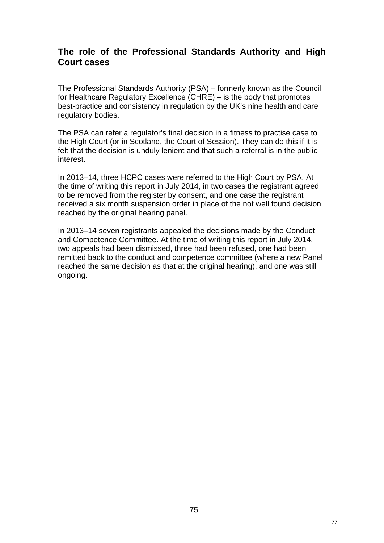## **The role of the Professional Standards Authority and High Court cases**

The Professional Standards Authority (PSA) – formerly known as the Council for Healthcare Regulatory Excellence (CHRE) – is the body that promotes best-practice and consistency in regulation by the UK's nine health and care regulatory bodies.

The PSA can refer a regulator's final decision in a fitness to practise case to the High Court (or in Scotland, the Court of Session). They can do this if it is felt that the decision is unduly lenient and that such a referral is in the public interest.

In 2013–14, three HCPC cases were referred to the High Court by PSA. At the time of writing this report in July 2014, in two cases the registrant agreed to be removed from the register by consent, and one case the registrant received a six month suspension order in place of the not well found decision reached by the original hearing panel.

In 2013–14 seven registrants appealed the decisions made by the Conduct and Competence Committee. At the time of writing this report in July 2014, two appeals had been dismissed, three had been refused, one had been remitted back to the conduct and competence committee (where a new Panel reached the same decision as that at the original hearing), and one was still ongoing.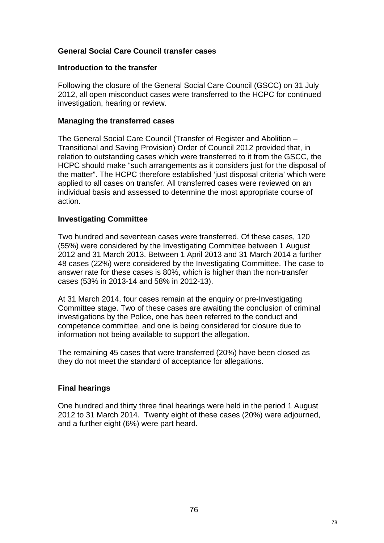#### **General Social Care Council transfer cases**

#### **Introduction to the transfer**

Following the closure of the General Social Care Council (GSCC) on 31 July 2012, all open misconduct cases were transferred to the HCPC for continued investigation, hearing or review.

#### **Managing the transferred cases**

The General Social Care Council (Transfer of Register and Abolition – Transitional and Saving Provision) Order of Council 2012 provided that, in relation to outstanding cases which were transferred to it from the GSCC, the HCPC should make "such arrangements as it considers just for the disposal of the matter". The HCPC therefore established 'just disposal criteria' which were applied to all cases on transfer. All transferred cases were reviewed on an individual basis and assessed to determine the most appropriate course of action.

#### **Investigating Committee**

Two hundred and seventeen cases were transferred. Of these cases, 120 (55%) were considered by the Investigating Committee between 1 August 2012 and 31 March 2013. Between 1 April 2013 and 31 March 2014 a further 48 cases (22%) were considered by the Investigating Committee. The case to answer rate for these cases is 80%, which is higher than the non-transfer cases (53% in 2013-14 and 58% in 2012-13).

At 31 March 2014, four cases remain at the enquiry or pre-Investigating Committee stage. Two of these cases are awaiting the conclusion of criminal investigations by the Police, one has been referred to the conduct and competence committee, and one is being considered for closure due to information not being available to support the allegation.

The remaining 45 cases that were transferred (20%) have been closed as they do not meet the standard of acceptance for allegations.

#### **Final hearings**

One hundred and thirty three final hearings were held in the period 1 August 2012 to 31 March 2014. Twenty eight of these cases (20%) were adjourned, and a further eight (6%) were part heard.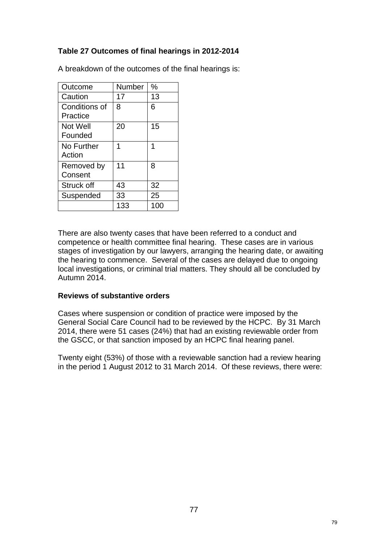## **Table 27 Outcomes of final hearings in 2012-2014**

| Outcome                   | Number | $\%$ |
|---------------------------|--------|------|
| Caution                   | 17     | 13   |
| Conditions of<br>Practice | 8      | 6    |
| Not Well<br>Founded       | 20     | 15   |
| No Further<br>Action      |        | 1    |
| Removed by<br>Consent     | 11     | 8    |
| Struck off                | 43     | 32   |
| Suspended                 | 33     | 25   |
|                           | 133    | 100  |

A breakdown of the outcomes of the final hearings is:

There are also twenty cases that have been referred to a conduct and competence or health committee final hearing. These cases are in various stages of investigation by our lawyers, arranging the hearing date, or awaiting the hearing to commence. Several of the cases are delayed due to ongoing local investigations, or criminal trial matters. They should all be concluded by Autumn 2014.

#### **Reviews of substantive orders**

Cases where suspension or condition of practice were imposed by the General Social Care Council had to be reviewed by the HCPC. By 31 March 2014, there were 51 cases (24%) that had an existing reviewable order from the GSCC, or that sanction imposed by an HCPC final hearing panel.

Twenty eight (53%) of those with a reviewable sanction had a review hearing in the period 1 August 2012 to 31 March 2014. Of these reviews, there were: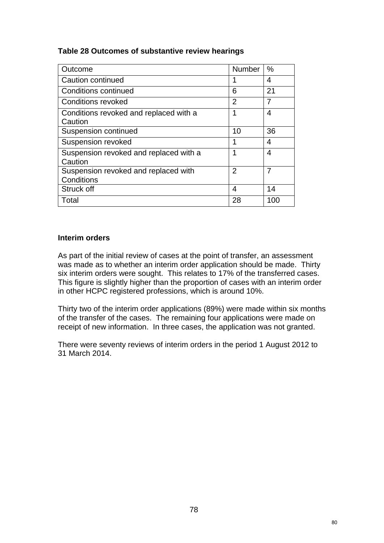#### **Table 28 Outcomes of substantive review hearings**

| Outcome                                            | <b>Number</b>  | $\%$           |
|----------------------------------------------------|----------------|----------------|
| Caution continued                                  |                | 4              |
| <b>Conditions continued</b>                        | 6              | 21             |
| <b>Conditions revoked</b>                          | $\overline{2}$ | $\overline{7}$ |
| Conditions revoked and replaced with a<br>Caution  |                | 4              |
| <b>Suspension continued</b>                        | 10             | 36             |
| <b>Suspension revoked</b>                          | 1              | 4              |
| Suspension revoked and replaced with a<br>Caution  | 1              | 4              |
| Suspension revoked and replaced with<br>Conditions | $\overline{2}$ | 7              |
| Struck off                                         | 4              | 14             |
| Total                                              | 28             | 100            |

#### **Interim orders**

As part of the initial review of cases at the point of transfer, an assessment was made as to whether an interim order application should be made. Thirty six interim orders were sought. This relates to 17% of the transferred cases. This figure is slightly higher than the proportion of cases with an interim order in other HCPC registered professions, which is around 10%.

Thirty two of the interim order applications (89%) were made within six months of the transfer of the cases. The remaining four applications were made on receipt of new information. In three cases, the application was not granted.

There were seventy reviews of interim orders in the period 1 August 2012 to 31 March 2014.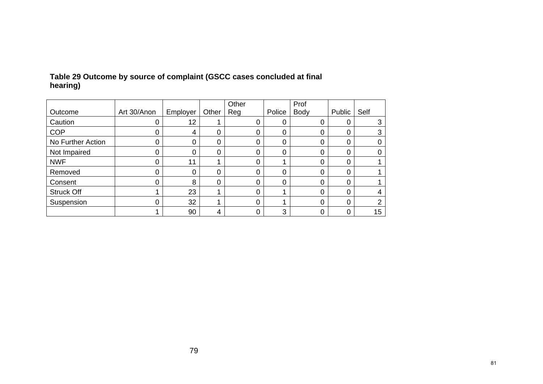|                   |             |          |       | Other |        | Prof        |             |      |
|-------------------|-------------|----------|-------|-------|--------|-------------|-------------|------|
| Outcome           | Art 30/Anon | Employer | Other | Reg   | Police | <b>Body</b> | Public      | Self |
| Caution           | 0           | 12       |       | 0     | 0      | 0           | 0           | 3    |
| <b>COP</b>        | 0           | 4        | 0     | 0     | 0      | 0           | $\mathbf 0$ |      |
| No Further Action | 0           | 0        | 0     | 0     | 0      | 0           | $\mathbf 0$ |      |
| Not Impaired      | 0           | 0        | 0     | 0     | 0      | 0           | $\mathbf 0$ |      |
| <b>NWF</b>        | 0           | 11       |       | 0     |        | 0           | 0           |      |
| Removed           | 0           | 0        | ი     | 0     | 0      | 0           | 0           |      |
| Consent           | 0           | 8        | 0     | 0     | 0      | 0           | $\mathbf 0$ |      |
| <b>Struck Off</b> |             | 23       |       | 0     |        | 0           | 0           |      |
| Suspension        | 0           | 32       |       | 0     |        | 0           | $\mathbf 0$ |      |
|                   |             | 90       |       | 0     | 3      | 0           | 0           | 15   |

## **Table 29 Outcome by source of complaint (GSCC cases concluded at final hearing)**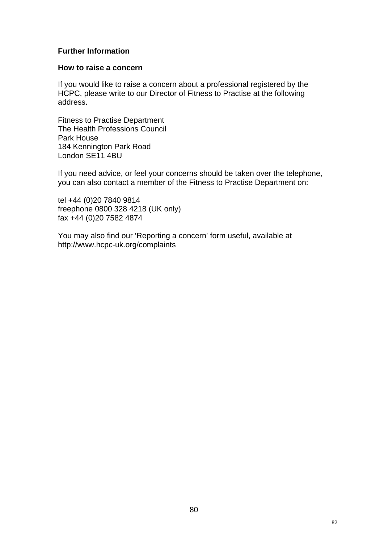#### **Further Information**

#### **How to raise a concern**

If you would like to raise a concern about a professional registered by the HCPC, please write to our Director of Fitness to Practise at the following address.

Fitness to Practise Department The Health Professions Council Park House 184 Kennington Park Road London SE11 4BU

If you need advice, or feel your concerns should be taken over the telephone, you can also contact a member of the Fitness to Practise Department on:

tel +44 (0)20 7840 9814 freephone 0800 328 4218 (UK only) fax +44 (0)20 7582 4874

You may also find our 'Reporting a concern' form useful, available at http://www.hcpc-uk.org/complaints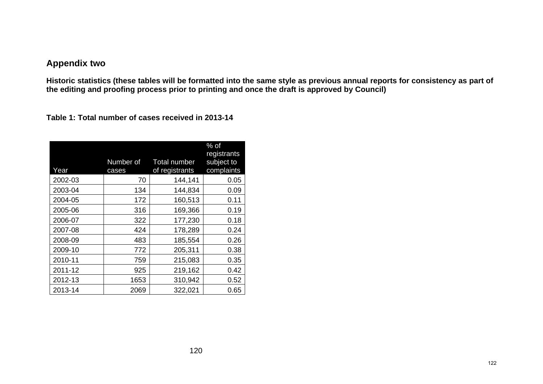## **Appendix two**

**Historic statistics (these tables will be formatted into the same style as previous annual reports for consistency as part of the editing and proofing process prior to printing and once the draft is approved by Council)** 

**Table 1: Total number of cases received in 2013-14** 

| Year    | Number of<br>cases | Total number<br>of registrants | $%$ of<br>registrants<br>subject to<br>complaints |
|---------|--------------------|--------------------------------|---------------------------------------------------|
| 2002-03 | 70                 | 144,141                        | 0.05                                              |
| 2003-04 | 134                | 144,834                        | 0.09                                              |
| 2004-05 | 172                | 160,513                        | 0.11                                              |
| 2005-06 | 316                | 169,366                        | 0.19                                              |
| 2006-07 | 322                | 177,230                        | 0.18                                              |
| 2007-08 | 424                | 178,289                        | 0.24                                              |
| 2008-09 | 483                | 185,554                        | 0.26                                              |
| 2009-10 | 772                | 205,311                        | 0.38                                              |
| 2010-11 | 759                | 215,083                        | 0.35                                              |
| 2011-12 | 925                | 219,162                        | 0.42                                              |
| 2012-13 | 1653               | 310,942                        | 0.52                                              |
| 2013-14 | 2069               | 322,021                        | 0.65                                              |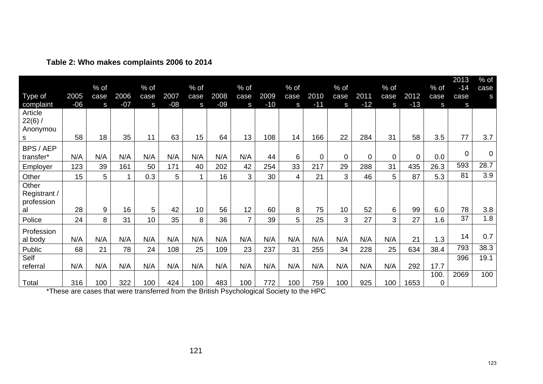|                                           |       |           |       |           |       |                 |       |                |       |           |       |             |          |           |             |                     | 2013      | $%$ of      |
|-------------------------------------------|-------|-----------|-------|-----------|-------|-----------------|-------|----------------|-------|-----------|-------|-------------|----------|-----------|-------------|---------------------|-----------|-------------|
|                                           | 2005  | $%$ of    | 2006  | $%$ of    | 2007  | $%$ of          | 2008  | % of           | 2009  | $%$ of    | 2010  | $%$ of      | 2011     | $%$ of    | 2012        | % of                | $-14$     | case        |
| Type of<br>complaint                      | $-06$ | case<br>S | $-07$ | case<br>S | $-08$ | case<br>S       | $-09$ | case<br>S      | $-10$ | case<br>S | $-11$ | case<br>S   | $-12$    | case<br>S | $-13$       | case<br>S           | case<br>S | S           |
| Article<br>$22(6)$ /<br>Anonymou<br>s     | 58    | 18        | 35    | 11        | 63    | 15              | 64    | 13             | 108   | 14        | 166   | 22          | 284      | 31        | 58          | 3.5                 | 77        | 3.7         |
| BPS / AEP                                 |       |           |       |           |       |                 |       |                |       |           |       |             |          |           |             |                     |           |             |
| transfer*                                 | N/A   | N/A       | N/A   | N/A       | N/A   | N/A             | N/A   | N/A            | 44    | 6         | 0     | $\mathbf 0$ | $\Omega$ | $\Omega$  | $\mathbf 0$ | 0.0                 | 0         | $\mathbf 0$ |
| Employer                                  | 123   | 39        | 161   | 50        | 171   | 40              | 202   | 42             | 254   | 33        | 217   | 29          | 288      | 31        | 435         | 26.3                | 593       | 28.7        |
| Other                                     | 15    | 5         |       | 0.3       | 5     | $\mathbf{1}$    | 16    | 3              | 30    | 4         | 21    | 3           | 46       | 5         | 87          | 5.3                 | 81        | 3.9         |
| Other<br>Registrant /<br>profession<br>al | 28    | 9         | 16    | 5         | 42    | 10 <sup>°</sup> | 56    | 12             | 60    | 8         | 75    | 10          | 52       | 6         | 99          | 6.0                 | 78        | 3.8         |
| Police                                    | 24    | 8         | 31    | 10        | 35    | 8               | 36    | $\overline{7}$ | 39    | 5         | 25    | 3           | 27       | 3         | 27          | 1.6                 | 37        | 1.8         |
| Profession<br>al body                     | N/A   | N/A       | N/A   | N/A       | N/A   | N/A             | N/A   | N/A            | N/A   | N/A       | N/A   | N/A         | N/A      | N/A       | 21          | 1.3                 | 14        | 0.7         |
| Public                                    | 68    | 21        | 78    | 24        | 108   | 25              | 109   | 23             | 237   | 31        | 255   | 34          | 228      | 25        | 634         | 38.4                | 793       | 38.3        |
| Self<br>referral                          | N/A   | N/A       | N/A   | N/A       | N/A   | N/A             | N/A   | N/A            | N/A   | N/A       | N/A   | N/A         | N/A      | N/A       | 292         | 17.7                | 396       | 19.1        |
| Total                                     | 316   | 100       | 322   | 100       | 424   | 100             | 483   | 100            | 772   | 100       | 759   | 100         | 925      | 100       | 1653        | 100.<br>$\mathbf 0$ | 2069      | 100         |

**Table 2: Who makes complaints 2006 to 2014** 

\*These are cases that were transferred from the British Psychological Society to the HPC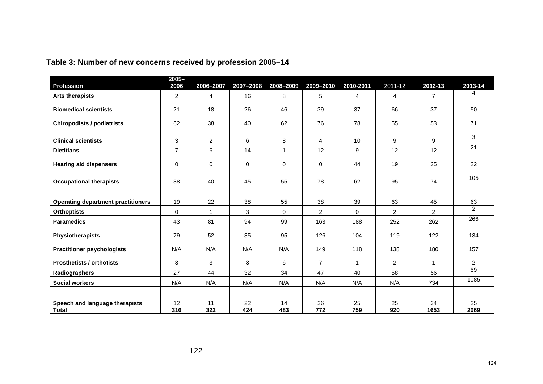| <b>Profession</b>                         | $2005 -$<br>2006 | 2006-2007    | 2007-2008 | 2008-2009    | 2009-2010       | 2010-2011      | 2011-12        | 2012-13        | 2013-14         |
|-------------------------------------------|------------------|--------------|-----------|--------------|-----------------|----------------|----------------|----------------|-----------------|
| <b>Arts therapists</b>                    | 2                | 4            | 16        | 8            | 5               | 4              | 4              | $\overline{7}$ | 4               |
| <b>Biomedical scientists</b>              | 21               | 18           | 26        | 46           | 39              | 37             | 66             | 37             | 50              |
| <b>Chiropodists / podiatrists</b>         | 62               | 38           | 40        | 62           | 76              | 78             | 55             | 53             | 71              |
| <b>Clinical scientists</b>                | 3                | 2            | 6         | 8            | 4               | 10             | 9              | 9              | 3               |
| <b>Dietitians</b>                         | $\overline{7}$   | 6            | 14        | $\mathbf{1}$ | 12              | 9              | 12             | 12             | $\overline{21}$ |
| <b>Hearing aid dispensers</b>             | 0                | 0            | 0         | $\mathbf 0$  | 0               | 44             | 19             | 25             | 22              |
| <b>Occupational therapists</b>            | 38               | 40           | 45        | 55           | 78              | 62             | 95             | 74             | 105             |
|                                           |                  |              |           |              |                 |                |                |                |                 |
| <b>Operating department practitioners</b> | 19               | 22           | 38        | 55           | 38              | 39             | 63             | 45             | 63              |
| <b>Orthoptists</b>                        | $\mathbf 0$      | $\mathbf{1}$ | 3         | $\Omega$     | $\overline{2}$  | $\Omega$       | $\overline{2}$ | $\overline{2}$ | $\overline{2}$  |
| <b>Paramedics</b>                         | 43               | 81           | 94        | 99           | 163             | 188            | 252            | 262            | 266             |
| Physiotherapists                          | 79               | 52           | 85        | 95           | 126             | 104            | 119            | 122            | 134             |
| <b>Practitioner psychologists</b>         | N/A              | N/A          | N/A       | N/A          | 149             | 118            | 138            | 180            | 157             |
| <b>Prosthetists / orthotists</b>          | 3                | 3            | 3         | 6            | $\overline{7}$  | $\overline{1}$ | $\overline{2}$ | $\mathbf{1}$   | $\overline{2}$  |
| Radiographers                             | 27               | 44           | 32        | 34           | 47              | 40             | 58             | 56             | $\overline{59}$ |
| <b>Social workers</b>                     | N/A              | N/A          | N/A       | N/A          | N/A             | N/A            | N/A            | 734            | 1085            |
|                                           |                  |              |           |              |                 |                |                |                |                 |
| Speech and language therapists            | 12               | 11           | 22        | 14           | 26              | 25             | 25             | 34             | 25              |
| <b>Total</b>                              | 316              | 322          | 424       | 483          | $\frac{1}{772}$ | 759            | 920            | 1653           | 2069            |

# **Table 3: Number of new concerns received by profession 2005–14**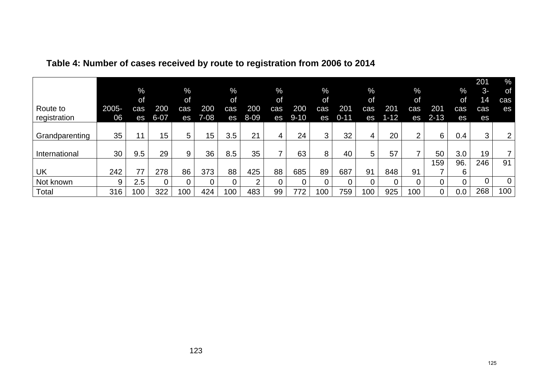| Route to<br>registration | 2005-<br>06 | $\frac{9}{6}$<br>of<br>cas<br>es | 200<br>$6 - 07$ | %<br>of<br>cas<br>es | 200<br>$7 - 08$ | $\%$<br>of<br>cas<br>es | 200<br>$8 - 09$ | $\%$<br>of<br>cas<br>es | 200<br>$9 - 10$ | $\%$<br><b>of</b><br>cas<br>es | 201<br>$0 - 11$ | $\frac{9}{6}$<br>of<br>cas<br>es | 201<br>$1 - 12$ | $\%$<br>0f<br>cas<br>es | 201<br>$2 - 13$ | $\%$<br>0f<br>cas<br>es | 201<br>$3-$<br>14<br>cas<br>es | $\%$<br>of<br>cas<br>es |
|--------------------------|-------------|----------------------------------|-----------------|----------------------|-----------------|-------------------------|-----------------|-------------------------|-----------------|--------------------------------|-----------------|----------------------------------|-----------------|-------------------------|-----------------|-------------------------|--------------------------------|-------------------------|
| Grandparenting           | 35          | 11                               | 15              | 5                    | 15              | 3.5                     | 21              | 4                       | 24              | 3                              | 32              | 4                                | 20              | $\overline{2}$          | 6               | 0.4                     | 3                              | $\overline{2}$          |
| International            | 30          | 9.5                              | 29              | 9                    | 36              | 8.5                     | 35              |                         | 63              | 8                              | 40              | 5                                | 57              |                         | 50              | 3.0                     | 19                             | 7                       |
| UK                       | 242         | 77                               | 278             | 86                   | 373             | 88                      | 425             | 88                      | 685             | 89                             | 687             | 91                               | 848             | 91                      | 159             | 96.<br>6.               | 246                            | 91                      |
| Not known                | 9           | 2.5                              | 0               | 0                    |                 |                         | ◠               | 0                       | 0               |                                |                 | 0                                | 0               | 0                       |                 |                         | $\overline{0}$                 | $\overline{0}$          |
| Total                    | 316         | 100                              | 322             | 100                  | 424             | 100                     | 483             | 99                      | 772             | 100                            | 759             | 100                              | 925             | 100                     | 0               | 0.0                     | 268                            | 100                     |

# **Table 4: Number of cases received by route to registration from 2006 to 2014**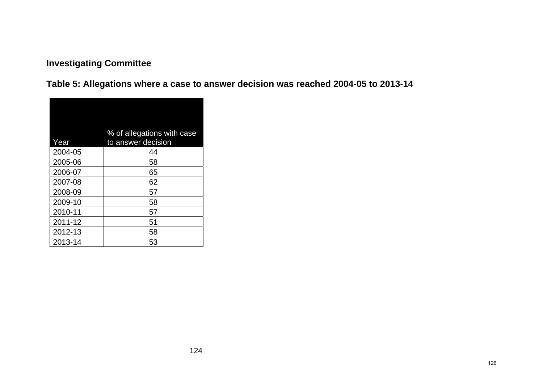# **Investigating Committee**

**Table 5: Allegations where a case to answer decision was reached 2004-05 to 2013-14** 

| Year    | % of allegations with case<br>to answer decision |
|---------|--------------------------------------------------|
| 2004-05 | 44                                               |
| 2005-06 | 58                                               |
| 2006-07 | 65                                               |
| 2007-08 | 62                                               |
| 2008-09 | 57                                               |
| 2009-10 | 58                                               |
| 2010-11 | 57                                               |
| 2011-12 | 51                                               |
| 2012-13 | 58                                               |
| 2013-14 | 53                                               |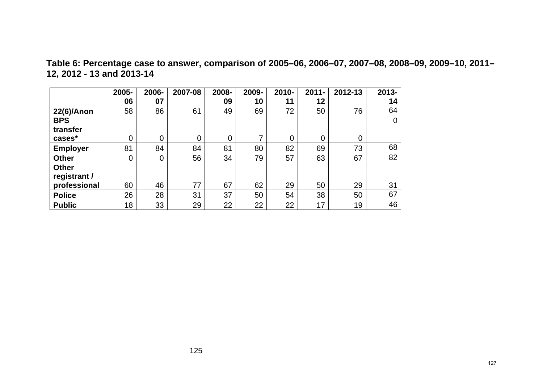**Table 6: Percentage case to answer, comparison of 2005–06, 2006–07, 2007–08, 2008–09, 2009–10, 2011– 12, 2012 - 13 and 2013-14** 

|                 | 2005-    | 2006-          | 2007-08 | 2008- | 2009- | 2010- | $2011 -$ | 2012-13 | $2013 -$ |
|-----------------|----------|----------------|---------|-------|-------|-------|----------|---------|----------|
|                 | 06       | 07             |         | 09    | 10    | 11    | 12       |         | 14       |
| 22(6)/Anon      | 58       | 86             | 61      | 49    | 69    | 72    | 50       | 76      | 64       |
| <b>BPS</b>      |          |                |         |       |       |       |          |         | 0        |
| transfer        |          |                |         |       |       |       |          |         |          |
| cases*          | 0        | 0              | 0       | 0     | ⇁     | 0     | 0        | 0       |          |
| <b>Employer</b> | 81       | 84             | 84      | 81    | 80    | 82    | 69       | 73      | 68       |
| <b>Other</b>    | $\Omega$ | $\overline{0}$ | 56      | 34    | 79    | 57    | 63       | 67      | 82       |
| <b>Other</b>    |          |                |         |       |       |       |          |         |          |
| registrant /    |          |                |         |       |       |       |          |         |          |
| professional    | 60       | 46             | 77      | 67    | 62    | 29    | 50       | 29      | 31       |
| <b>Police</b>   | 26       | 28             | 31      | 37    | 50    | 54    | 38       | 50      | 67       |
| <b>Public</b>   | 18       | 33             | 29      | 22    | 22    | 22    | 17       | 19      | 46       |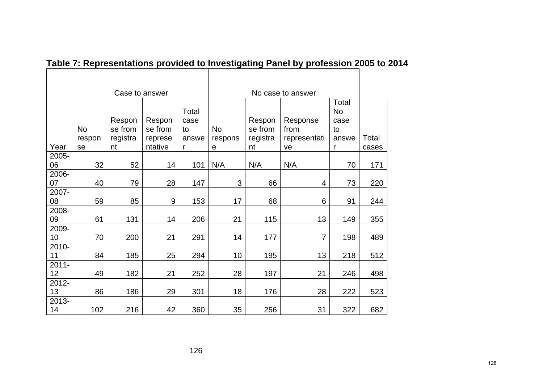|          | Case to answer |          |         |       | No case to answer |          |                |       |       |
|----------|----------------|----------|---------|-------|-------------------|----------|----------------|-------|-------|
|          |                |          |         |       |                   |          |                | Total |       |
|          |                |          |         | Total |                   |          |                | No    |       |
|          |                | Respon   | Respon  | case  |                   | Respon   | Response       | case  |       |
|          | No             | se from  | se from | to    | <b>No</b>         | se from  | from           | to    |       |
|          | respon         | registra | represe | answe | respons           | registra | representati   | answe | Total |
| Year     | se             | nt       | ntative | r     | e                 | nt       | ve             | r     | cases |
| 2005-    |                |          |         |       |                   |          |                |       |       |
| 06       | 32             | 52       | 14      | 101   | N/A               | N/A      | N/A            | 70    | 171   |
| 2006-    |                |          |         |       |                   |          |                |       |       |
| 07       | 40             | 79       | 28      | 147   | 3                 | 66       | 4              | 73    | 220   |
| 2007-    |                |          |         |       |                   |          |                |       |       |
| 08       | 59             | 85       | 9       | 153   | 17                | 68       | 6              | 91    | 244   |
| 2008-    |                |          |         |       |                   |          |                |       |       |
| 09       | 61             | 131      | 14      | 206   | 21                | 115      | 13             | 149   | 355   |
| 2009-    |                |          |         |       |                   |          |                |       |       |
| 10       | 70             | 200      | 21      | 291   | 14                | 177      | $\overline{7}$ | 198   | 489   |
| 2010-    |                |          |         |       |                   |          |                |       |       |
| 11       | 84             | 185      | 25      | 294   | 10                | 195      | 13             | 218   | 512   |
| $2011 -$ |                |          |         |       |                   |          |                |       |       |
| 12       | 49             | 182      | 21      | 252   | 28                | 197      | 21             | 246   | 498   |
| 2012-    |                |          |         |       |                   |          |                |       |       |
| 13       | 86             | 186      | 29      | 301   | 18                | 176      | 28             | 222   | 523   |
| 2013-    |                |          |         |       |                   |          |                |       |       |
| 14       | 102            | 216      | 42      | 360   | 35                | 256      | 31             | 322   | 682   |

# Table 7: Representations provided to Investigating Panel by profession 2005 to 2014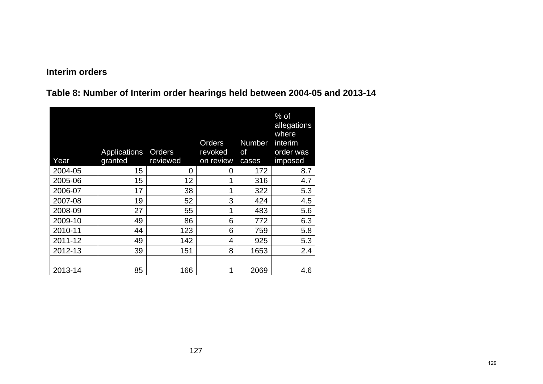## **Interim orders**

**Table 8: Number of Interim order hearings held between 2004-05 and 2013-14** 

| Year    | Applications<br>granted | Orders<br>reviewed | Orders<br>revoked<br>on review | <b>Number</b><br>οf<br>cases | $%$ of<br>allegations<br>where<br>interim<br>order was<br>imposed |
|---------|-------------------------|--------------------|--------------------------------|------------------------------|-------------------------------------------------------------------|
| 2004-05 | 15                      | 0                  | 0                              | 172                          | 8.7                                                               |
| 2005-06 | 15                      | 12                 | 1                              | 316                          | 4.7                                                               |
| 2006-07 | 17                      | 38                 | 1                              | 322                          | 5.3                                                               |
| 2007-08 | 19                      | 52                 | 3                              | 424                          | 4.5                                                               |
| 2008-09 | 27                      | 55                 | 1                              | 483                          | 5.6                                                               |
| 2009-10 | 49                      | 86                 | 6                              | 772                          | 6.3                                                               |
| 2010-11 | 44                      | 123                | 6                              | 759                          | 5.8                                                               |
| 2011-12 | 49                      | 142                | 4                              | 925                          | 5.3                                                               |
| 2012-13 | 39                      | 151                | 8                              | 1653                         | 2.4                                                               |
| 2013-14 | 85                      | 166                | 1                              | 2069                         | 4.6                                                               |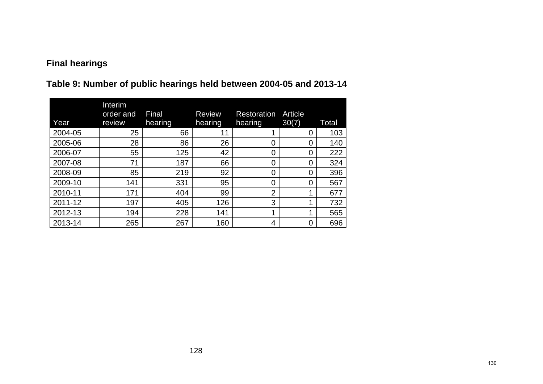# **Final hearings**

|  |  |  | Table 9: Number of public hearings held between 2004-05 and 2013-14 |
|--|--|--|---------------------------------------------------------------------|
|--|--|--|---------------------------------------------------------------------|

| Year    | Interim<br>order and<br>review | Final<br>hearing | <b>Review</b><br>hearing | <b>Restoration</b><br>hearing | Article<br>30(7) | Total |
|---------|--------------------------------|------------------|--------------------------|-------------------------------|------------------|-------|
| 2004-05 | 25                             | 66               | 11                       |                               | 0                | 103   |
| 2005-06 | 28                             | 86               | 26                       | 0                             | 0                | 140   |
| 2006-07 | 55                             | 125              | 42                       | 0                             | 0                | 222   |
| 2007-08 | 71                             | 187              | 66                       | 0                             | 0                | 324   |
| 2008-09 | 85                             | 219              | 92                       | 0                             | 0                | 396   |
| 2009-10 | 141                            | 331              | 95                       | 0                             | 0                | 567   |
| 2010-11 | 171                            | 404              | 99                       | $\overline{2}$                | 1                | 677   |
| 2011-12 | 197                            | 405              | 126                      | 3                             |                  | 732   |
| 2012-13 | 194                            | 228              | 141                      | ◢                             | 1                | 565   |
| 2013-14 | 265                            | 267              | 160                      | 4                             | 0                | 696   |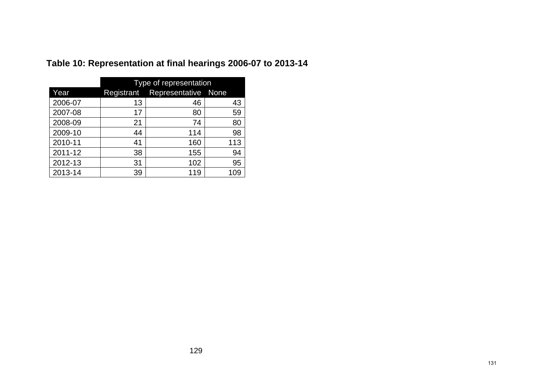|         | Type of representation |                     |     |  |  |
|---------|------------------------|---------------------|-----|--|--|
| Year    | Registrant             | Representative None |     |  |  |
| 2006-07 | 13                     | 46                  | 43  |  |  |
| 2007-08 | 17                     | 80                  | 59  |  |  |
| 2008-09 | 21                     | 74                  | 80  |  |  |
| 2009-10 | 44                     | 114                 | 98  |  |  |
| 2010-11 | 41                     | 160                 | 113 |  |  |
| 2011-12 | 38                     | 155                 | 94  |  |  |
| 2012-13 | 31                     | 102                 | 95  |  |  |
| 2013-14 | 39                     | 119                 | 109 |  |  |

# **Table 10: Representation at final hearings 2006-07 to 2013-14**